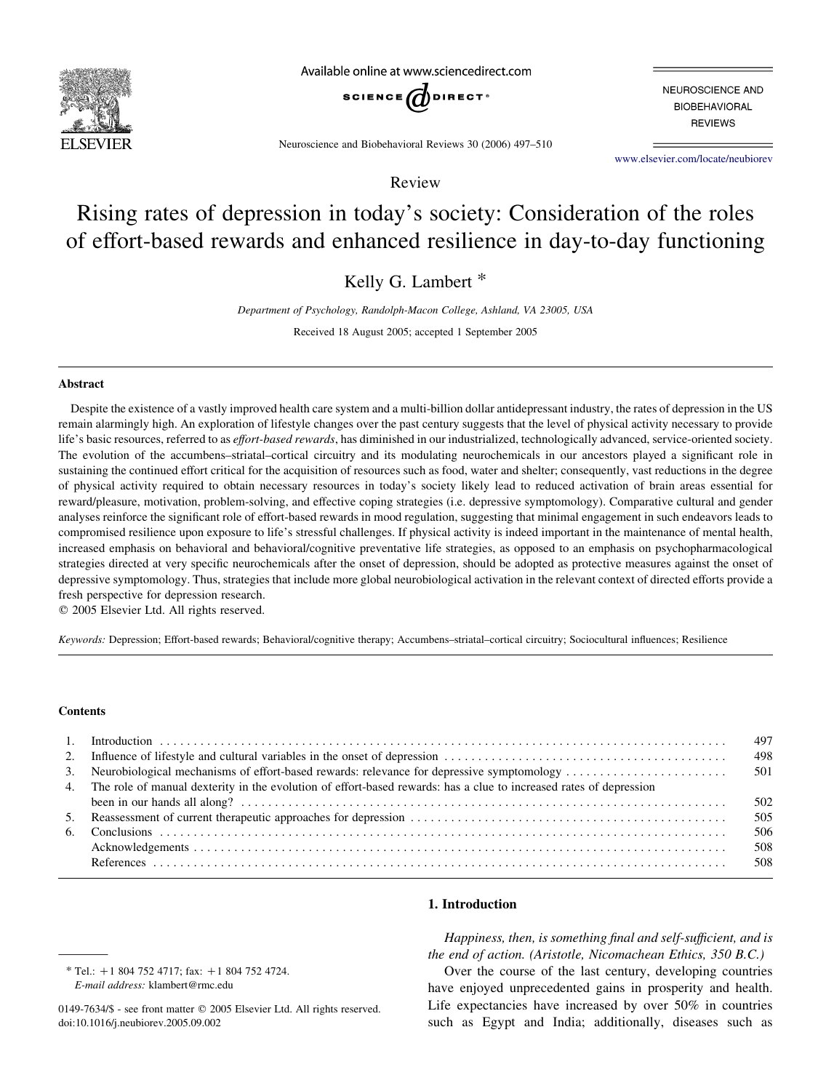

Available online at www.sciencedirect.com



NEUROSCIENCE AND **BIOBEHAVIORAL REVIEWS** 

Neuroscience and Biobehavioral Reviews 30 (2006) 497–510

[www.elsevier.com/locate/neubiorev](http://www.elsevier.com/locate/neubiorev)

Review

# Rising rates of depression in today's society: Consideration of the roles of effort-based rewards and enhanced resilience in day-to-day functioning

Kelly G. Lambert \*

Department of Psychology, Randolph-Macon College, Ashland, VA 23005, USA

Received 18 August 2005; accepted 1 September 2005

#### Abstract

Despite the existence of a vastly improved health care system and a multi-billion dollar antidepressant industry, the rates of depression in the US remain alarmingly high. An exploration of lifestyle changes over the past century suggests that the level of physical activity necessary to provide life's basic resources, referred to as *effort-based rewards*, has diminished in our industrialized, technologically advanced, service-oriented society. The evolution of the accumbens–striatal–cortical circuitry and its modulating neurochemicals in our ancestors played a significant role in sustaining the continued effort critical for the acquisition of resources such as food, water and shelter; consequently, vast reductions in the degree of physical activity required to obtain necessary resources in today's society likely lead to reduced activation of brain areas essential for reward/pleasure, motivation, problem-solving, and effective coping strategies (i.e. depressive symptomology). Comparative cultural and gender analyses reinforce the significant role of effort-based rewards in mood regulation, suggesting that minimal engagement in such endeavors leads to compromised resilience upon exposure to life's stressful challenges. If physical activity is indeed important in the maintenance of mental health, increased emphasis on behavioral and behavioral/cognitive preventative life strategies, as opposed to an emphasis on psychopharmacological strategies directed at very specific neurochemicals after the onset of depression, should be adopted as protective measures against the onset of depressive symptomology. Thus, strategies that include more global neurobiological activation in the relevant context of directed efforts provide a fresh perspective for depression research.

 $© 2005 Elsevier Ltd. All rights reserved.$ 

Keywords: Depression; Effort-based rewards; Behavioral/cognitive therapy; Accumbens–striatal–cortical circuitry; Sociocultural influences; Resilience

#### **Contents**

|                                                                                                                       | 497<br>498 |
|-----------------------------------------------------------------------------------------------------------------------|------------|
|                                                                                                                       |            |
| 4. The role of manual dexterity in the evolution of effort-based rewards: has a clue to increased rates of depression |            |
|                                                                                                                       | 502        |
|                                                                                                                       |            |
|                                                                                                                       | 506        |
|                                                                                                                       | 508        |
|                                                                                                                       |            |

 $*$  Tel.: +1 804 752 4717; fax: +1 804 752 4724. E-mail address: klambert@rmc.edu

## 1. Introduction

Happiness, then, is something final and self-sufficient, and is the end of action. (Aristotle, Nicomachean Ethics, 350 B.C.)

Over the course of the last century, developing countries have enjoyed unprecedented gains in prosperity and health. Life expectancies have increased by over 50% in countries such as Egypt and India; additionally, diseases such as

<sup>0149-7634/\$ -</sup> see front matter © 2005 Elsevier Ltd. All rights reserved. doi:10.1016/j.neubiorev.2005.09.002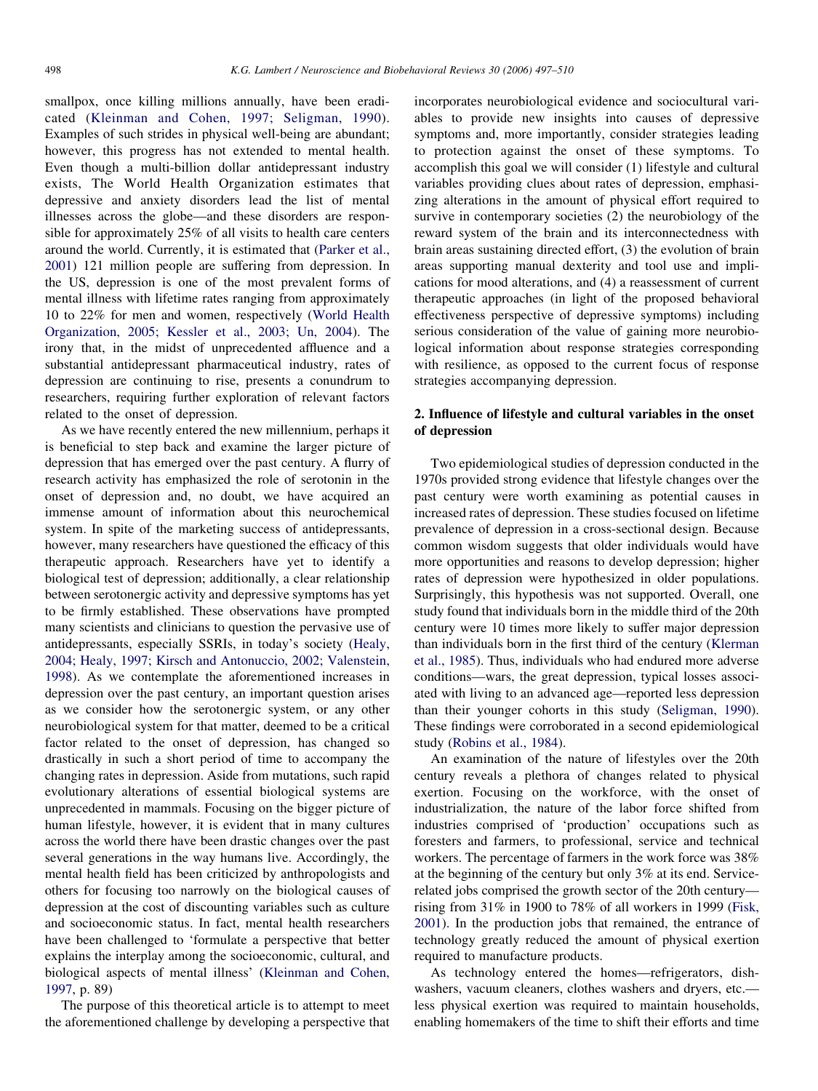smallpox, once killing millions annually, have been eradicated ([Kleinman and Cohen, 1997; Seligman, 1990\)](#page-12-0). Examples of such strides in physical well-being are abundant; however, this progress has not extended to mental health. Even though a multi-billion dollar antidepressant industry exists, The World Health Organization estimates that depressive and anxiety disorders lead the list of mental illnesses across the globe—and these disorders are responsible for approximately 25% of all visits to health care centers around the world. Currently, it is estimated that [\(Parker et al.,](#page-12-0) [2001\)](#page-12-0) 121 million people are suffering from depression. In the US, depression is one of the most prevalent forms of mental illness with lifetime rates ranging from approximately 10 to 22% for men and women, respectively ([World Health](#page-13-0) [Organization, 2005; Kessler et al., 2003; Un, 2004\)](#page-13-0). The irony that, in the midst of unprecedented affluence and a substantial antidepressant pharmaceutical industry, rates of depression are continuing to rise, presents a conundrum to researchers, requiring further exploration of relevant factors related to the onset of depression.

As we have recently entered the new millennium, perhaps it is beneficial to step back and examine the larger picture of depression that has emerged over the past century. A flurry of research activity has emphasized the role of serotonin in the onset of depression and, no doubt, we have acquired an immense amount of information about this neurochemical system. In spite of the marketing success of antidepressants, however, many researchers have questioned the efficacy of this therapeutic approach. Researchers have yet to identify a biological test of depression; additionally, a clear relationship between serotonergic activity and depressive symptoms has yet to be firmly established. These observations have prompted many scientists and clinicians to question the pervasive use of antidepressants, especially SSRIs, in today's society [\(Healy,](#page-11-0) [2004; Healy, 1997; Kirsch and Antonuccio, 2002; Valenstein,](#page-11-0) [1998\)](#page-11-0). As we contemplate the aforementioned increases in depression over the past century, an important question arises as we consider how the serotonergic system, or any other neurobiological system for that matter, deemed to be a critical factor related to the onset of depression, has changed so drastically in such a short period of time to accompany the changing rates in depression. Aside from mutations, such rapid evolutionary alterations of essential biological systems are unprecedented in mammals. Focusing on the bigger picture of human lifestyle, however, it is evident that in many cultures across the world there have been drastic changes over the past several generations in the way humans live. Accordingly, the mental health field has been criticized by anthropologists and others for focusing too narrowly on the biological causes of depression at the cost of discounting variables such as culture and socioeconomic status. In fact, mental health researchers have been challenged to 'formulate a perspective that better explains the interplay among the socioeconomic, cultural, and biological aspects of mental illness' [\(Kleinman and Cohen,](#page-12-0) [1997,](#page-12-0) p. 89)

The purpose of this theoretical article is to attempt to meet the aforementioned challenge by developing a perspective that incorporates neurobiological evidence and sociocultural variables to provide new insights into causes of depressive symptoms and, more importantly, consider strategies leading to protection against the onset of these symptoms. To accomplish this goal we will consider (1) lifestyle and cultural variables providing clues about rates of depression, emphasizing alterations in the amount of physical effort required to survive in contemporary societies (2) the neurobiology of the reward system of the brain and its interconnectedness with brain areas sustaining directed effort, (3) the evolution of brain areas supporting manual dexterity and tool use and implications for mood alterations, and (4) a reassessment of current therapeutic approaches (in light of the proposed behavioral effectiveness perspective of depressive symptoms) including serious consideration of the value of gaining more neurobiological information about response strategies corresponding with resilience, as opposed to the current focus of response strategies accompanying depression.

## 2. Influence of lifestyle and cultural variables in the onset of depression

Two epidemiological studies of depression conducted in the 1970s provided strong evidence that lifestyle changes over the past century were worth examining as potential causes in increased rates of depression. These studies focused on lifetime prevalence of depression in a cross-sectional design. Because common wisdom suggests that older individuals would have more opportunities and reasons to develop depression; higher rates of depression were hypothesized in older populations. Surprisingly, this hypothesis was not supported. Overall, one study found that individuals born in the middle third of the 20th century were 10 times more likely to suffer major depression than individuals born in the first third of the century ([Klerman](#page-12-0) [et al., 1985\)](#page-12-0). Thus, individuals who had endured more adverse conditions—wars, the great depression, typical losses associated with living to an advanced age—reported less depression than their younger cohorts in this study ([Seligman, 1990\)](#page-12-0). These findings were corroborated in a second epidemiological study ([Robins et al., 1984](#page-12-0)).

An examination of the nature of lifestyles over the 20th century reveals a plethora of changes related to physical exertion. Focusing on the workforce, with the onset of industrialization, the nature of the labor force shifted from industries comprised of 'production' occupations such as foresters and farmers, to professional, service and technical workers. The percentage of farmers in the work force was 38% at the beginning of the century but only 3% at its end. Servicerelated jobs comprised the growth sector of the 20th century rising from 31% in 1900 to 78% of all workers in 1999 [\(Fisk,](#page-11-0) [2001\)](#page-11-0). In the production jobs that remained, the entrance of technology greatly reduced the amount of physical exertion required to manufacture products.

As technology entered the homes—refrigerators, dishwashers, vacuum cleaners, clothes washers and dryers, etc. less physical exertion was required to maintain households, enabling homemakers of the time to shift their efforts and time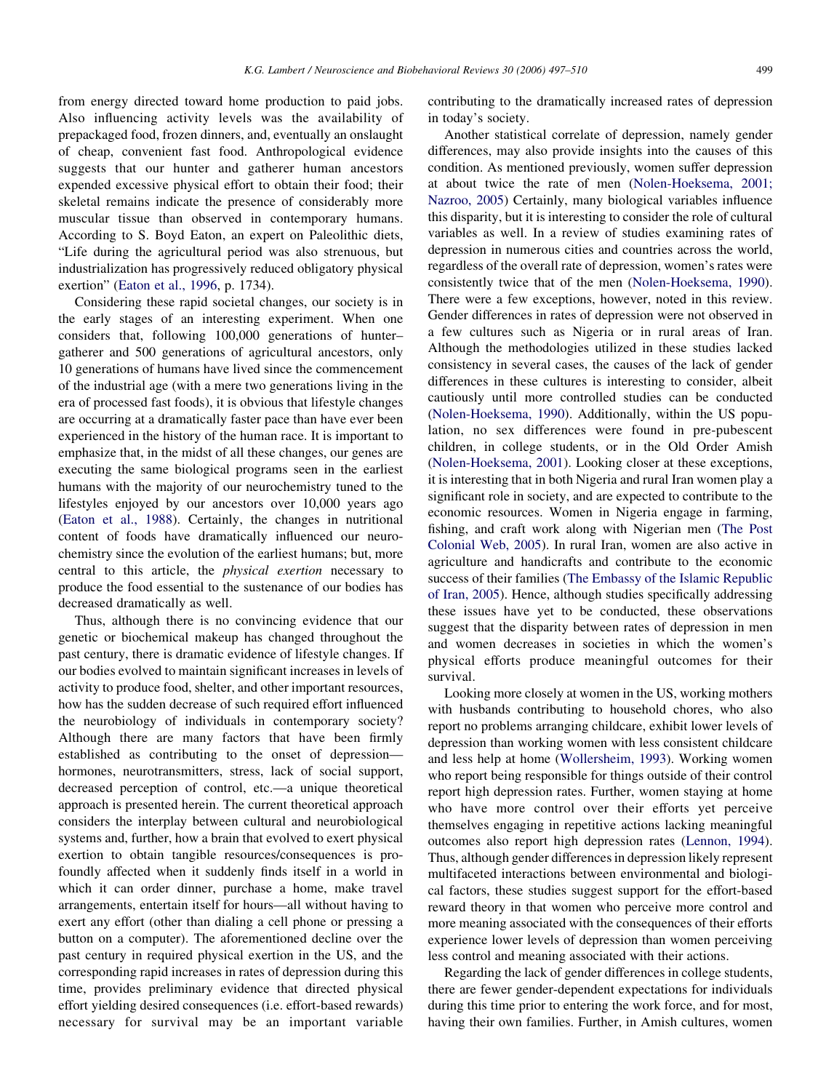from energy directed toward home production to paid jobs. Also influencing activity levels was the availability of prepackaged food, frozen dinners, and, eventually an onslaught of cheap, convenient fast food. Anthropological evidence suggests that our hunter and gatherer human ancestors expended excessive physical effort to obtain their food; their skeletal remains indicate the presence of considerably more muscular tissue than observed in contemporary humans. According to S. Boyd Eaton, an expert on Paleolithic diets, "Life during the agricultural period was also strenuous, but industrialization has progressively reduced obligatory physical exertion" [\(Eaton et al., 1996](#page-11-0), p. 1734).

Considering these rapid societal changes, our society is in the early stages of an interesting experiment. When one considers that, following 100,000 generations of hunter– gatherer and 500 generations of agricultural ancestors, only 10 generations of humans have lived since the commencement of the industrial age (with a mere two generations living in the era of processed fast foods), it is obvious that lifestyle changes are occurring at a dramatically faster pace than have ever been experienced in the history of the human race. It is important to emphasize that, in the midst of all these changes, our genes are executing the same biological programs seen in the earliest humans with the majority of our neurochemistry tuned to the lifestyles enjoyed by our ancestors over 10,000 years ago ([Eaton et al., 1988\)](#page-11-0). Certainly, the changes in nutritional content of foods have dramatically influenced our neurochemistry since the evolution of the earliest humans; but, more central to this article, the physical exertion necessary to produce the food essential to the sustenance of our bodies has decreased dramatically as well.

Thus, although there is no convincing evidence that our genetic or biochemical makeup has changed throughout the past century, there is dramatic evidence of lifestyle changes. If our bodies evolved to maintain significant increases in levels of activity to produce food, shelter, and other important resources, how has the sudden decrease of such required effort influenced the neurobiology of individuals in contemporary society? Although there are many factors that have been firmly established as contributing to the onset of depression hormones, neurotransmitters, stress, lack of social support, decreased perception of control, etc.—a unique theoretical approach is presented herein. The current theoretical approach considers the interplay between cultural and neurobiological systems and, further, how a brain that evolved to exert physical exertion to obtain tangible resources/consequences is profoundly affected when it suddenly finds itself in a world in which it can order dinner, purchase a home, make travel arrangements, entertain itself for hours—all without having to exert any effort (other than dialing a cell phone or pressing a button on a computer). The aforementioned decline over the past century in required physical exertion in the US, and the corresponding rapid increases in rates of depression during this time, provides preliminary evidence that directed physical effort yielding desired consequences (i.e. effort-based rewards) necessary for survival may be an important variable

contributing to the dramatically increased rates of depression in today's society.

Another statistical correlate of depression, namely gender differences, may also provide insights into the causes of this condition. As mentioned previously, women suffer depression at about twice the rate of men [\(Nolen-Hoeksema, 2001;](#page-12-0) [Nazroo, 2005\)](#page-12-0) Certainly, many biological variables influence this disparity, but it is interesting to consider the role of cultural variables as well. In a review of studies examining rates of depression in numerous cities and countries across the world, regardless of the overall rate of depression, women's rates were consistently twice that of the men [\(Nolen-Hoeksema, 1990\)](#page-12-0). There were a few exceptions, however, noted in this review. Gender differences in rates of depression were not observed in a few cultures such as Nigeria or in rural areas of Iran. Although the methodologies utilized in these studies lacked consistency in several cases, the causes of the lack of gender differences in these cultures is interesting to consider, albeit cautiously until more controlled studies can be conducted ([Nolen-Hoeksema, 1990](#page-12-0)). Additionally, within the US population, no sex differences were found in pre-pubescent children, in college students, or in the Old Order Amish ([Nolen-Hoeksema, 2001](#page-12-0)). Looking closer at these exceptions, it is interesting that in both Nigeria and rural Iran women play a significant role in society, and are expected to contribute to the economic resources. Women in Nigeria engage in farming, fishing, and craft work along with Nigerian men [\(The Post](#page-13-0) [Colonial Web, 2005](#page-13-0)). In rural Iran, women are also active in agriculture and handicrafts and contribute to the economic success of their families [\(The Embassy of the Islamic Republic](#page-13-0) [of Iran, 2005\)](#page-13-0). Hence, although studies specifically addressing these issues have yet to be conducted, these observations suggest that the disparity between rates of depression in men and women decreases in societies in which the women's physical efforts produce meaningful outcomes for their survival.

Looking more closely at women in the US, working mothers with husbands contributing to household chores, who also report no problems arranging childcare, exhibit lower levels of depression than working women with less consistent childcare and less help at home ([Wollersheim, 1993](#page-13-0)). Working women who report being responsible for things outside of their control report high depression rates. Further, women staying at home who have more control over their efforts yet perceive themselves engaging in repetitive actions lacking meaningful outcomes also report high depression rates [\(Lennon, 1994\)](#page-12-0). Thus, although gender differences in depression likely represent multifaceted interactions between environmental and biological factors, these studies suggest support for the effort-based reward theory in that women who perceive more control and more meaning associated with the consequences of their efforts experience lower levels of depression than women perceiving less control and meaning associated with their actions.

Regarding the lack of gender differences in college students, there are fewer gender-dependent expectations for individuals during this time prior to entering the work force, and for most, having their own families. Further, in Amish cultures, women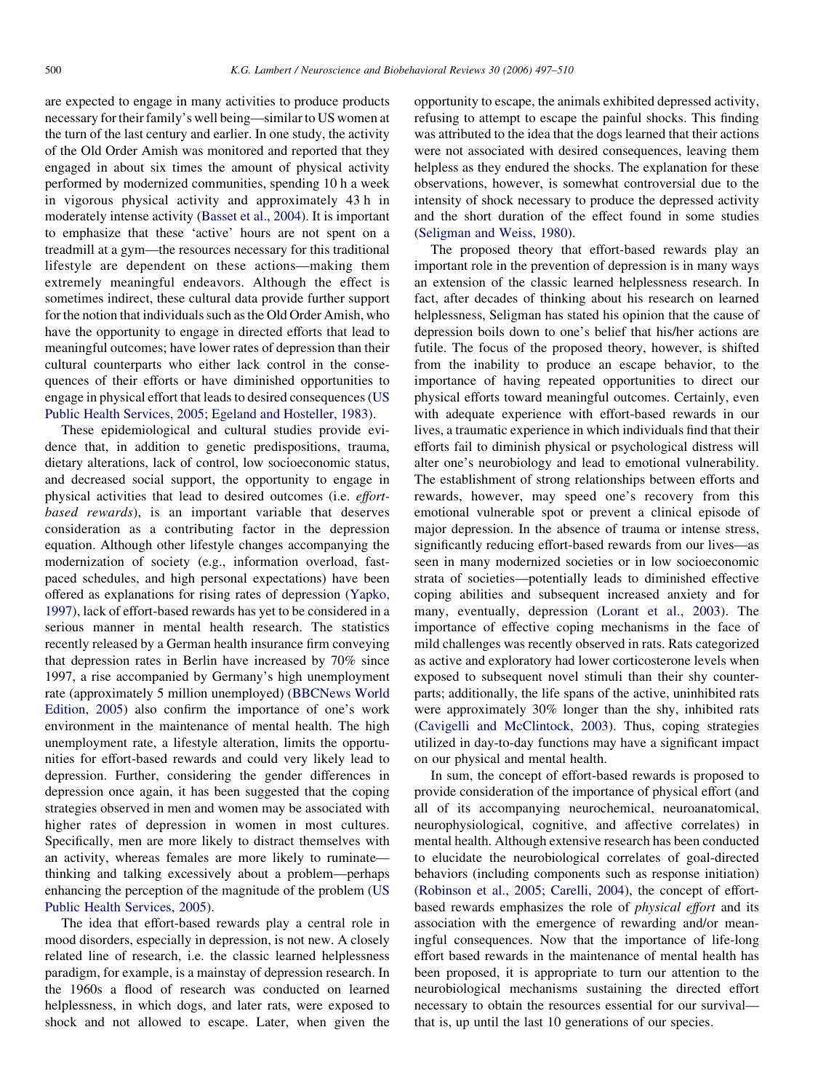are expected to engage in many activities to produce products necessary for their family's well being—similar to US women at the turn of the last century and earlier. In one study, the activity of the Old Order Amish was monitored and reported that they engaged in about six times the amount of physical activity performed by modernized communities, spending 10 h a week in vigorous physical activity and approximately 43 h in moderately intense activity ([Basset et al., 2004](#page-11-0)). It is important to emphasize that these 'active' hours are not spent on a treadmill at a gym—the resources necessary for this traditional lifestyle are dependent on these actions—making them extremely meaningful endeavors. Although the effect is sometimes indirect, these cultural data provide further support for the notion that individuals such as the Old Order Amish, who have the opportunity to engage in directed efforts that lead to meaningful outcomes; have lower rates of depression than their cultural counterparts who either lack control in the consequences of their efforts or have diminished opportunities to engage in physical effort that leads to desired consequences [\(US](#page-13-0) [Public Health Services, 2005; Egeland and Hosteller, 1983](#page-13-0)).

These epidemiological and cultural studies provide evidence that, in addition to genetic predispositions, trauma, dietary alterations, lack of control, low socioeconomic status, and decreased social support, the opportunity to engage in physical activities that lead to desired outcomes (i.e. effortbased rewards), is an important variable that deserves consideration as a contributing factor in the depression equation. Although other lifestyle changes accompanying the modernization of society (e.g., information overload, fastpaced schedules, and high personal expectations) have been offered as explanations for rising rates of depression ([Yapko,](#page-13-0) [1997\)](#page-13-0), lack of effort-based rewards has yet to be considered in a serious manner in mental health research. The statistics recently released by a German health insurance firm conveying that depression rates in Berlin have increased by 70% since 1997, a rise accompanied by Germany's high unemployment rate (approximately 5 million unemployed) ([BBCNews World](#page-11-0) [Edition, 2005\)](#page-11-0) also confirm the importance of one's work environment in the maintenance of mental health. The high unemployment rate, a lifestyle alteration, limits the opportunities for effort-based rewards and could very likely lead to depression. Further, considering the gender differences in depression once again, it has been suggested that the coping strategies observed in men and women may be associated with higher rates of depression in women in most cultures. Specifically, men are more likely to distract themselves with an activity, whereas females are more likely to ruminate thinking and talking excessively about a problem—perhaps enhancing the perception of the magnitude of the problem [\(US](#page-13-0) [Public Health Services, 2005](#page-13-0)).

The idea that effort-based rewards play a central role in mood disorders, especially in depression, is not new. A closely related line of research, i.e. the classic learned helplessness paradigm, for example, is a mainstay of depression research. In the 1960s a flood of research was conducted on learned helplessness, in which dogs, and later rats, were exposed to shock and not allowed to escape. Later, when given the

opportunity to escape, the animals exhibited depressed activity, refusing to attempt to escape the painful shocks. This finding was attributed to the idea that the dogs learned that their actions were not associated with desired consequences, leaving them helpless as they endured the shocks. The explanation for these observations, however, is somewhat controversial due to the intensity of shock necessary to produce the depressed activity and the short duration of the effect found in some studies [\(Seligman and Weiss, 1980](#page-12-0)).

The proposed theory that effort-based rewards play an important role in the prevention of depression is in many ways an extension of the classic learned helplessness research. In fact, after decades of thinking about his research on learned helplessness, Seligman has stated his opinion that the cause of depression boils down to one's belief that his/her actions are futile. The focus of the proposed theory, however, is shifted from the inability to produce an escape behavior, to the importance of having repeated opportunities to direct our physical efforts toward meaningful outcomes. Certainly, even with adequate experience with effort-based rewards in our lives, a traumatic experience in which individuals find that their efforts fail to diminish physical or psychological distress will alter one's neurobiology and lead to emotional vulnerability. The establishment of strong relationships between efforts and rewards, however, may speed one's recovery from this emotional vulnerable spot or prevent a clinical episode of major depression. In the absence of trauma or intense stress, significantly reducing effort-based rewards from our lives—as seen in many modernized societies or in low socioeconomic strata of societies—potentially leads to diminished effective coping abilities and subsequent increased anxiety and for many, eventually, depression ([Lorant et al., 2003\)](#page-12-0). The importance of effective coping mechanisms in the face of mild challenges was recently observed in rats. Rats categorized as active and exploratory had lower corticosterone levels when exposed to subsequent novel stimuli than their shy counterparts; additionally, the life spans of the active, uninhibited rats were approximately 30% longer than the shy, inhibited rats [\(Cavigelli and McClintock, 2003\)](#page-11-0). Thus, coping strategies utilized in day-to-day functions may have a significant impact on our physical and mental health.

In sum, the concept of effort-based rewards is proposed to provide consideration of the importance of physical effort (and all of its accompanying neurochemical, neuroanatomical, neurophysiological, cognitive, and affective correlates) in mental health. Although extensive research has been conducted to elucidate the neurobiological correlates of goal-directed behaviors (including components such as response initiation) [\(Robinson et al., 2005; Carelli, 2004\)](#page-12-0), the concept of effortbased rewards emphasizes the role of physical effort and its association with the emergence of rewarding and/or meaningful consequences. Now that the importance of life-long effort based rewards in the maintenance of mental health has been proposed, it is appropriate to turn our attention to the neurobiological mechanisms sustaining the directed effort necessary to obtain the resources essential for our survival that is, up until the last 10 generations of our species.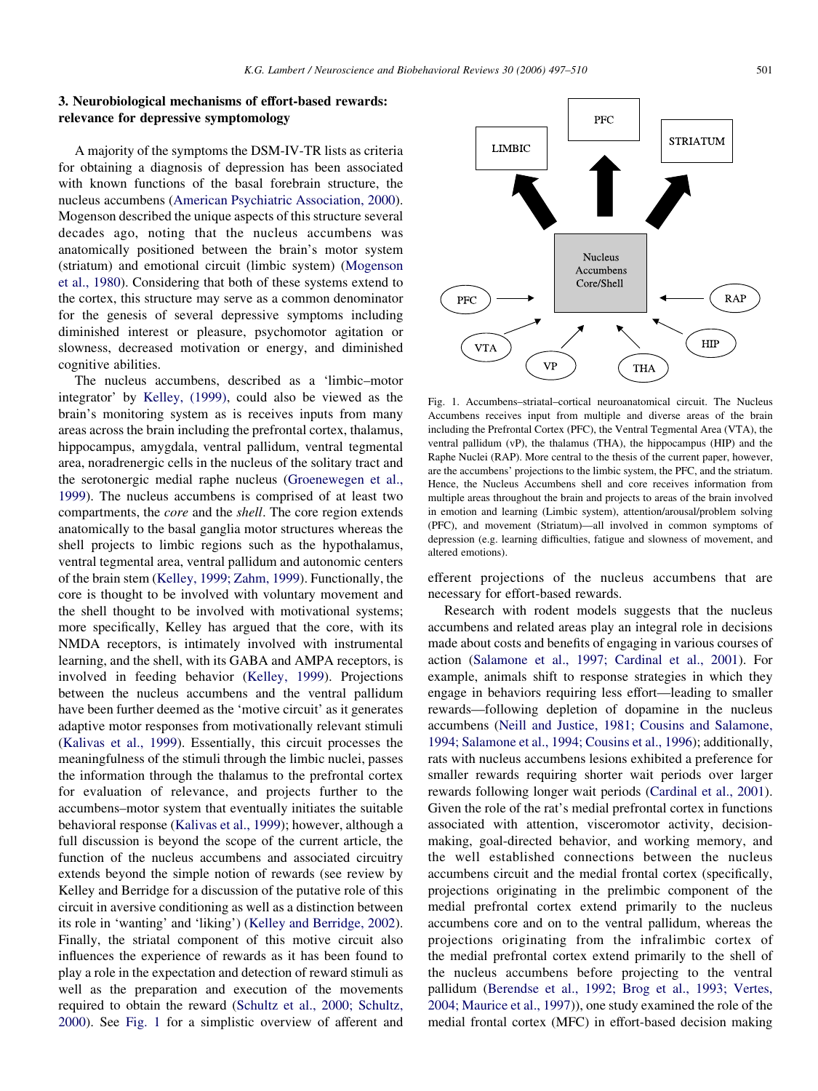## 3. Neurobiological mechanisms of effort-based rewards: relevance for depressive symptomology

A majority of the symptoms the DSM-IV-TR lists as criteria for obtaining a diagnosis of depression has been associated with known functions of the basal forebrain structure, the nucleus accumbens [\(American Psychiatric Association, 2000\)](#page-11-0). Mogenson described the unique aspects of this structure several decades ago, noting that the nucleus accumbens was anatomically positioned between the brain's motor system (striatum) and emotional circuit (limbic system) [\(Mogenson](#page-12-0) [et al., 1980\)](#page-12-0). Considering that both of these systems extend to the cortex, this structure may serve as a common denominator for the genesis of several depressive symptoms including diminished interest or pleasure, psychomotor agitation or slowness, decreased motivation or energy, and diminished cognitive abilities.

The nucleus accumbens, described as a 'limbic–motor integrator' by [Kelley, \(1999\)](#page-12-0), could also be viewed as the brain's monitoring system as is receives inputs from many areas across the brain including the prefrontal cortex, thalamus, hippocampus, amygdala, ventral pallidum, ventral tegmental area, noradrenergic cells in the nucleus of the solitary tract and the serotonergic medial raphe nucleus ([Groenewegen et al.,](#page-11-0) [1999](#page-11-0)). The nucleus accumbens is comprised of at least two compartments, the core and the shell. The core region extends anatomically to the basal ganglia motor structures whereas the shell projects to limbic regions such as the hypothalamus, ventral tegmental area, ventral pallidum and autonomic centers of the brain stem [\(Kelley, 1999; Zahm, 1999](#page-12-0)). Functionally, the core is thought to be involved with voluntary movement and the shell thought to be involved with motivational systems; more specifically, Kelley has argued that the core, with its NMDA receptors, is intimately involved with instrumental learning, and the shell, with its GABA and AMPA receptors, is involved in feeding behavior [\(Kelley, 1999\)](#page-12-0). Projections between the nucleus accumbens and the ventral pallidum have been further deemed as the 'motive circuit' as it generates adaptive motor responses from motivationally relevant stimuli ([Kalivas et al., 1999\)](#page-11-0). Essentially, this circuit processes the meaningfulness of the stimuli through the limbic nuclei, passes the information through the thalamus to the prefrontal cortex for evaluation of relevance, and projects further to the accumbens–motor system that eventually initiates the suitable behavioral response ([Kalivas et al., 1999](#page-11-0)); however, although a full discussion is beyond the scope of the current article, the function of the nucleus accumbens and associated circuitry extends beyond the simple notion of rewards (see review by Kelley and Berridge for a discussion of the putative role of this circuit in aversive conditioning as well as a distinction between its role in 'wanting' and 'liking') [\(Kelley and Berridge, 2002\)](#page-12-0). Finally, the striatal component of this motive circuit also influences the experience of rewards as it has been found to play a role in the expectation and detection of reward stimuli as well as the preparation and execution of the movements required to obtain the reward [\(Schultz et al., 2000; Schultz,](#page-12-0) [2000](#page-12-0)). See Fig. 1 for a simplistic overview of afferent and



Fig. 1. Accumbens–striatal–cortical neuroanatomical circuit. The Nucleus Accumbens receives input from multiple and diverse areas of the brain including the Prefrontal Cortex (PFC), the Ventral Tegmental Area (VTA), the ventral pallidum (vP), the thalamus (THA), the hippocampus (HIP) and the Raphe Nuclei (RAP). More central to the thesis of the current paper, however, are the accumbens' projections to the limbic system, the PFC, and the striatum. Hence, the Nucleus Accumbens shell and core receives information from multiple areas throughout the brain and projects to areas of the brain involved in emotion and learning (Limbic system), attention/arousal/problem solving (PFC), and movement (Striatum)—all involved in common symptoms of depression (e.g. learning difficulties, fatigue and slowness of movement, and altered emotions).

efferent projections of the nucleus accumbens that are necessary for effort-based rewards.

Research with rodent models suggests that the nucleus accumbens and related areas play an integral role in decisions made about costs and benefits of engaging in various courses of action ([Salamone et al., 1997; Cardinal et al., 2001\)](#page-12-0). For example, animals shift to response strategies in which they engage in behaviors requiring less effort—leading to smaller rewards—following depletion of dopamine in the nucleus accumbens [\(Neill and Justice, 1981; Cousins and Salamone,](#page-12-0) [1994; Salamone et al., 1994; Cousins et al., 1996](#page-12-0)); additionally, rats with nucleus accumbens lesions exhibited a preference for smaller rewards requiring shorter wait periods over larger rewards following longer wait periods [\(Cardinal et al., 2001\)](#page-11-0). Given the role of the rat's medial prefrontal cortex in functions associated with attention, visceromotor activity, decisionmaking, goal-directed behavior, and working memory, and the well established connections between the nucleus accumbens circuit and the medial frontal cortex (specifically, projections originating in the prelimbic component of the medial prefrontal cortex extend primarily to the nucleus accumbens core and on to the ventral pallidum, whereas the projections originating from the infralimbic cortex of the medial prefrontal cortex extend primarily to the shell of the nucleus accumbens before projecting to the ventral pallidum [\(Berendse et al., 1992; Brog et al., 1993; Vertes,](#page-11-0) [2004; Maurice et al., 1997](#page-11-0))), one study examined the role of the medial frontal cortex (MFC) in effort-based decision making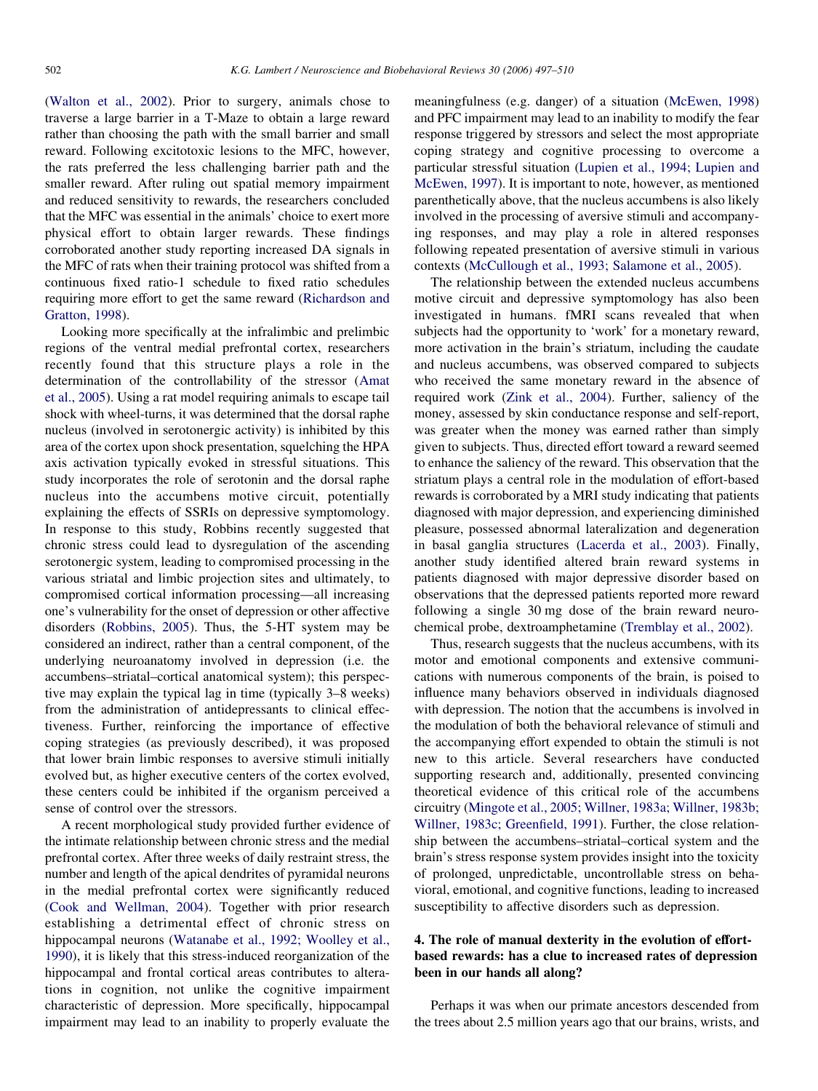[\(Walton et al., 2002](#page-13-0)). Prior to surgery, animals chose to traverse a large barrier in a T-Maze to obtain a large reward rather than choosing the path with the small barrier and small reward. Following excitotoxic lesions to the MFC, however, the rats preferred the less challenging barrier path and the smaller reward. After ruling out spatial memory impairment and reduced sensitivity to rewards, the researchers concluded that the MFC was essential in the animals' choice to exert more physical effort to obtain larger rewards. These findings corroborated another study reporting increased DA signals in the MFC of rats when their training protocol was shifted from a continuous fixed ratio-1 schedule to fixed ratio schedules requiring more effort to get the same reward ([Richardson and](#page-12-0) [Gratton, 1998\)](#page-12-0).

Looking more specifically at the infralimbic and prelimbic regions of the ventral medial prefrontal cortex, researchers recently found that this structure plays a role in the determination of the controllability of the stressor ([Amat](#page-11-0) [et al., 2005](#page-11-0)). Using a rat model requiring animals to escape tail shock with wheel-turns, it was determined that the dorsal raphe nucleus (involved in serotonergic activity) is inhibited by this area of the cortex upon shock presentation, squelching the HPA axis activation typically evoked in stressful situations. This study incorporates the role of serotonin and the dorsal raphe nucleus into the accumbens motive circuit, potentially explaining the effects of SSRIs on depressive symptomology. In response to this study, Robbins recently suggested that chronic stress could lead to dysregulation of the ascending serotonergic system, leading to compromised processing in the various striatal and limbic projection sites and ultimately, to compromised cortical information processing—all increasing one's vulnerability for the onset of depression or other affective disorders [\(Robbins, 2005](#page-12-0)). Thus, the 5-HT system may be considered an indirect, rather than a central component, of the underlying neuroanatomy involved in depression (i.e. the accumbens–striatal–cortical anatomical system); this perspective may explain the typical lag in time (typically 3–8 weeks) from the administration of antidepressants to clinical effectiveness. Further, reinforcing the importance of effective coping strategies (as previously described), it was proposed that lower brain limbic responses to aversive stimuli initially evolved but, as higher executive centers of the cortex evolved, these centers could be inhibited if the organism perceived a sense of control over the stressors.

A recent morphological study provided further evidence of the intimate relationship between chronic stress and the medial prefrontal cortex. After three weeks of daily restraint stress, the number and length of the apical dendrites of pyramidal neurons in the medial prefrontal cortex were significantly reduced [\(Cook and Wellman, 2004](#page-11-0)). Together with prior research establishing a detrimental effect of chronic stress on hippocampal neurons [\(Watanabe et al., 1992; Woolley et al.,](#page-13-0) [1990\)](#page-13-0), it is likely that this stress-induced reorganization of the hippocampal and frontal cortical areas contributes to alterations in cognition, not unlike the cognitive impairment characteristic of depression. More specifically, hippocampal impairment may lead to an inability to properly evaluate the

meaningfulness (e.g. danger) of a situation ([McEwen, 1998](#page-12-0)) and PFC impairment may lead to an inability to modify the fear response triggered by stressors and select the most appropriate coping strategy and cognitive processing to overcome a particular stressful situation ([Lupien et al., 1994; Lupien and](#page-12-0) [McEwen, 1997](#page-12-0)). It is important to note, however, as mentioned parenthetically above, that the nucleus accumbens is also likely involved in the processing of aversive stimuli and accompanying responses, and may play a role in altered responses following repeated presentation of aversive stimuli in various contexts [\(McCullough et al., 1993; Salamone et al., 2005](#page-12-0)).

The relationship between the extended nucleus accumbens motive circuit and depressive symptomology has also been investigated in humans. fMRI scans revealed that when subjects had the opportunity to 'work' for a monetary reward, more activation in the brain's striatum, including the caudate and nucleus accumbens, was observed compared to subjects who received the same monetary reward in the absence of required work ([Zink et al., 2004\)](#page-13-0). Further, saliency of the money, assessed by skin conductance response and self-report, was greater when the money was earned rather than simply given to subjects. Thus, directed effort toward a reward seemed to enhance the saliency of the reward. This observation that the striatum plays a central role in the modulation of effort-based rewards is corroborated by a MRI study indicating that patients diagnosed with major depression, and experiencing diminished pleasure, possessed abnormal lateralization and degeneration in basal ganglia structures [\(Lacerda et al., 2003\)](#page-12-0). Finally, another study identified altered brain reward systems in patients diagnosed with major depressive disorder based on observations that the depressed patients reported more reward following a single 30 mg dose of the brain reward neurochemical probe, dextroamphetamine [\(Tremblay et al., 2002\)](#page-13-0).

Thus, research suggests that the nucleus accumbens, with its motor and emotional components and extensive communications with numerous components of the brain, is poised to influence many behaviors observed in individuals diagnosed with depression. The notion that the accumbens is involved in the modulation of both the behavioral relevance of stimuli and the accompanying effort expended to obtain the stimuli is not new to this article. Several researchers have conducted supporting research and, additionally, presented convincing theoretical evidence of this critical role of the accumbens circuitry [\(Mingote et al., 2005; Willner, 1983a; Willner, 1983b;](#page-12-0) [Willner, 1983c; Greenfield, 1991\)](#page-12-0). Further, the close relationship between the accumbens–striatal–cortical system and the brain's stress response system provides insight into the toxicity of prolonged, unpredictable, uncontrollable stress on behavioral, emotional, and cognitive functions, leading to increased susceptibility to affective disorders such as depression.

## 4. The role of manual dexterity in the evolution of effortbased rewards: has a clue to increased rates of depression been in our hands all along?

Perhaps it was when our primate ancestors descended from the trees about 2.5 million years ago that our brains, wrists, and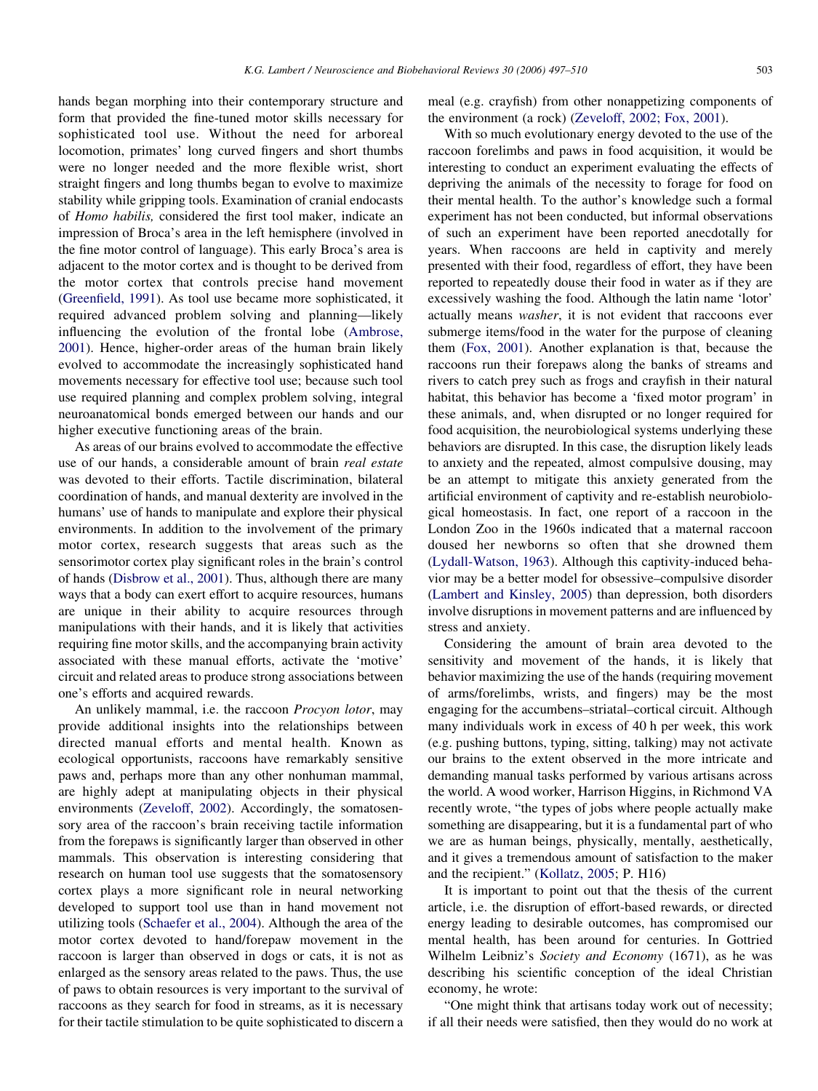hands began morphing into their contemporary structure and form that provided the fine-tuned motor skills necessary for sophisticated tool use. Without the need for arboreal locomotion, primates' long curved fingers and short thumbs were no longer needed and the more flexible wrist, short straight fingers and long thumbs began to evolve to maximize stability while gripping tools. Examination of cranial endocasts of Homo habilis, considered the first tool maker, indicate an impression of Broca's area in the left hemisphere (involved in the fine motor control of language). This early Broca's area is adjacent to the motor cortex and is thought to be derived from the motor cortex that controls precise hand movement ([Greenfield, 1991\)](#page-11-0). As tool use became more sophisticated, it required advanced problem solving and planning—likely influencing the evolution of the frontal lobe ([Ambrose,](#page-11-0) [2001](#page-11-0)). Hence, higher-order areas of the human brain likely evolved to accommodate the increasingly sophisticated hand movements necessary for effective tool use; because such tool use required planning and complex problem solving, integral neuroanatomical bonds emerged between our hands and our higher executive functioning areas of the brain.

As areas of our brains evolved to accommodate the effective use of our hands, a considerable amount of brain real estate was devoted to their efforts. Tactile discrimination, bilateral coordination of hands, and manual dexterity are involved in the humans' use of hands to manipulate and explore their physical environments. In addition to the involvement of the primary motor cortex, research suggests that areas such as the sensorimotor cortex play significant roles in the brain's control of hands [\(Disbrow et al., 2001\)](#page-11-0). Thus, although there are many ways that a body can exert effort to acquire resources, humans are unique in their ability to acquire resources through manipulations with their hands, and it is likely that activities requiring fine motor skills, and the accompanying brain activity associated with these manual efforts, activate the 'motive' circuit and related areas to produce strong associations between one's efforts and acquired rewards.

An unlikely mammal, i.e. the raccoon *Procyon lotor*, may provide additional insights into the relationships between directed manual efforts and mental health. Known as ecological opportunists, raccoons have remarkably sensitive paws and, perhaps more than any other nonhuman mammal, are highly adept at manipulating objects in their physical environments [\(Zeveloff, 2002](#page-13-0)). Accordingly, the somatosensory area of the raccoon's brain receiving tactile information from the forepaws is significantly larger than observed in other mammals. This observation is interesting considering that research on human tool use suggests that the somatosensory cortex plays a more significant role in neural networking developed to support tool use than in hand movement not utilizing tools [\(Schaefer et al., 2004\)](#page-12-0). Although the area of the motor cortex devoted to hand/forepaw movement in the raccoon is larger than observed in dogs or cats, it is not as enlarged as the sensory areas related to the paws. Thus, the use of paws to obtain resources is very important to the survival of raccoons as they search for food in streams, as it is necessary for their tactile stimulation to be quite sophisticated to discern a

meal (e.g. crayfish) from other nonappetizing components of the environment (a rock) ([Zeveloff, 2002; Fox, 2001\)](#page-13-0).

With so much evolutionary energy devoted to the use of the raccoon forelimbs and paws in food acquisition, it would be interesting to conduct an experiment evaluating the effects of depriving the animals of the necessity to forage for food on their mental health. To the author's knowledge such a formal experiment has not been conducted, but informal observations of such an experiment have been reported anecdotally for years. When raccoons are held in captivity and merely presented with their food, regardless of effort, they have been reported to repeatedly douse their food in water as if they are excessively washing the food. Although the latin name 'lotor' actually means washer, it is not evident that raccoons ever submerge items/food in the water for the purpose of cleaning them [\(Fox, 2001\)](#page-11-0). Another explanation is that, because the raccoons run their forepaws along the banks of streams and rivers to catch prey such as frogs and crayfish in their natural habitat, this behavior has become a 'fixed motor program' in these animals, and, when disrupted or no longer required for food acquisition, the neurobiological systems underlying these behaviors are disrupted. In this case, the disruption likely leads to anxiety and the repeated, almost compulsive dousing, may be an attempt to mitigate this anxiety generated from the artificial environment of captivity and re-establish neurobiological homeostasis. In fact, one report of a raccoon in the London Zoo in the 1960s indicated that a maternal raccoon doused her newborns so often that she drowned them ([Lydall-Watson, 1963](#page-12-0)). Although this captivity-induced behavior may be a better model for obsessive–compulsive disorder ([Lambert and Kinsley, 2005\)](#page-12-0) than depression, both disorders involve disruptions in movement patterns and are influenced by stress and anxiety.

Considering the amount of brain area devoted to the sensitivity and movement of the hands, it is likely that behavior maximizing the use of the hands (requiring movement of arms/forelimbs, wrists, and fingers) may be the most engaging for the accumbens–striatal–cortical circuit. Although many individuals work in excess of 40 h per week, this work (e.g. pushing buttons, typing, sitting, talking) may not activate our brains to the extent observed in the more intricate and demanding manual tasks performed by various artisans across the world. A wood worker, Harrison Higgins, in Richmond VA recently wrote, "the types of jobs where people actually make something are disappearing, but it is a fundamental part of who we are as human beings, physically, mentally, aesthetically, and it gives a tremendous amount of satisfaction to the maker and the recipient." ([Kollatz, 2005;](#page-12-0) P. H16)

It is important to point out that the thesis of the current article, i.e. the disruption of effort-based rewards, or directed energy leading to desirable outcomes, has compromised our mental health, has been around for centuries. In Gottried Wilhelm Leibniz's Society and Economy (1671), as he was describing his scientific conception of the ideal Christian economy, he wrote:

"One might think that artisans today work out of necessity; if all their needs were satisfied, then they would do no work at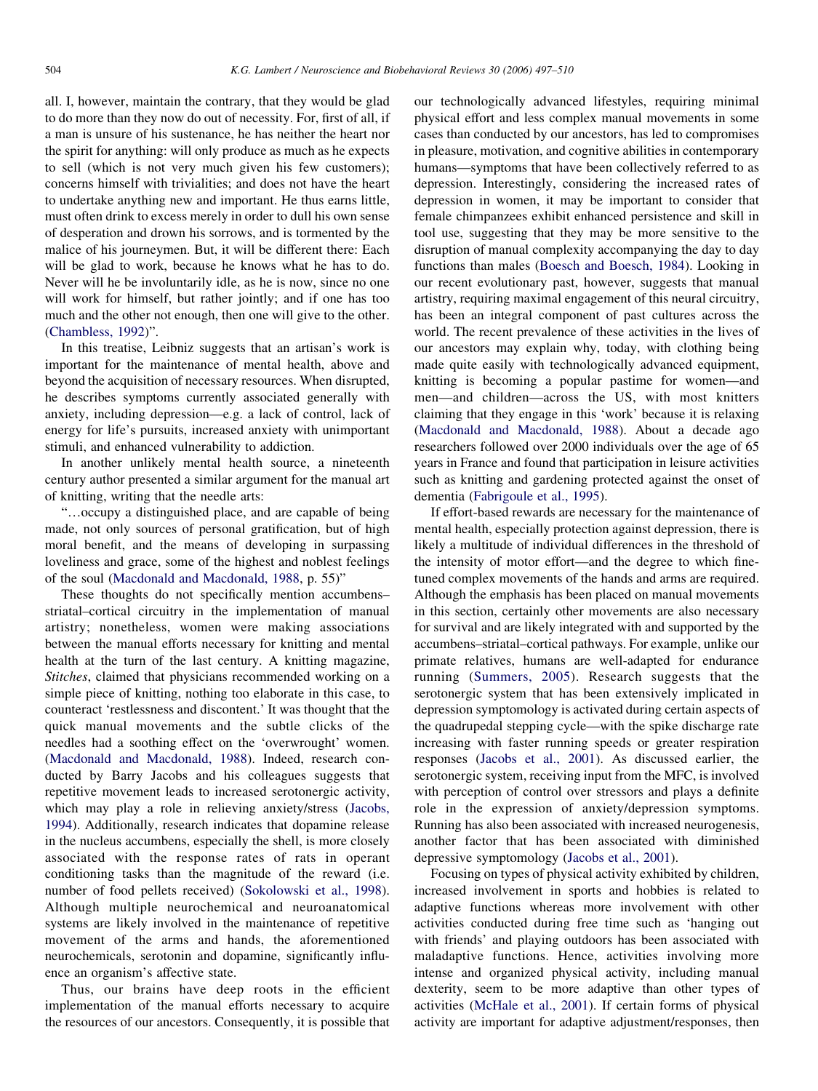all. I, however, maintain the contrary, that they would be glad to do more than they now do out of necessity. For, first of all, if a man is unsure of his sustenance, he has neither the heart nor the spirit for anything: will only produce as much as he expects to sell (which is not very much given his few customers); concerns himself with trivialities; and does not have the heart to undertake anything new and important. He thus earns little, must often drink to excess merely in order to dull his own sense of desperation and drown his sorrows, and is tormented by the malice of his journeymen. But, it will be different there: Each will be glad to work, because he knows what he has to do. Never will he be involuntarily idle, as he is now, since no one will work for himself, but rather jointly; and if one has too much and the other not enough, then one will give to the other. [\(Chambless, 1992](#page-11-0))".

In this treatise, Leibniz suggests that an artisan's work is important for the maintenance of mental health, above and beyond the acquisition of necessary resources. When disrupted, he describes symptoms currently associated generally with anxiety, including depression—e.g. a lack of control, lack of energy for life's pursuits, increased anxiety with unimportant stimuli, and enhanced vulnerability to addiction.

In another unlikely mental health source, a nineteenth century author presented a similar argument for the manual art of knitting, writing that the needle arts:

"...occupy a distinguished place, and are capable of being made, not only sources of personal gratification, but of high moral benefit, and the means of developing in surpassing loveliness and grace, some of the highest and noblest feelings of the soul [\(Macdonald and Macdonald, 1988](#page-12-0), p. 55)"

These thoughts do not specifically mention accumbens– striatal–cortical circuitry in the implementation of manual artistry; nonetheless, women were making associations between the manual efforts necessary for knitting and mental health at the turn of the last century. A knitting magazine, Stitches, claimed that physicians recommended working on a simple piece of knitting, nothing too elaborate in this case, to counteract 'restlessness and discontent.' It was thought that the quick manual movements and the subtle clicks of the needles had a soothing effect on the 'overwrought' women. [\(Macdonald and Macdonald, 1988\)](#page-12-0). Indeed, research conducted by Barry Jacobs and his colleagues suggests that repetitive movement leads to increased serotonergic activity, which may play a role in relieving anxiety/stress ([Jacobs,](#page-11-0) [1994\)](#page-11-0). Additionally, research indicates that dopamine release in the nucleus accumbens, especially the shell, is more closely associated with the response rates of rats in operant conditioning tasks than the magnitude of the reward (i.e. number of food pellets received) [\(Sokolowski et al., 1998\)](#page-13-0). Although multiple neurochemical and neuroanatomical systems are likely involved in the maintenance of repetitive movement of the arms and hands, the aforementioned neurochemicals, serotonin and dopamine, significantly influence an organism's affective state.

Thus, our brains have deep roots in the efficient implementation of the manual efforts necessary to acquire the resources of our ancestors. Consequently, it is possible that our technologically advanced lifestyles, requiring minimal physical effort and less complex manual movements in some cases than conducted by our ancestors, has led to compromises in pleasure, motivation, and cognitive abilities in contemporary humans—symptoms that have been collectively referred to as depression. Interestingly, considering the increased rates of depression in women, it may be important to consider that female chimpanzees exhibit enhanced persistence and skill in tool use, suggesting that they may be more sensitive to the disruption of manual complexity accompanying the day to day functions than males ([Boesch and Boesch, 1984\)](#page-11-0). Looking in our recent evolutionary past, however, suggests that manual artistry, requiring maximal engagement of this neural circuitry, has been an integral component of past cultures across the world. The recent prevalence of these activities in the lives of our ancestors may explain why, today, with clothing being made quite easily with technologically advanced equipment, knitting is becoming a popular pastime for women—and men—and children—across the US, with most knitters claiming that they engage in this 'work' because it is relaxing [\(Macdonald and Macdonald, 1988](#page-12-0)). About a decade ago researchers followed over 2000 individuals over the age of 65 years in France and found that participation in leisure activities such as knitting and gardening protected against the onset of dementia ([Fabrigoule et al., 1995\)](#page-11-0).

If effort-based rewards are necessary for the maintenance of mental health, especially protection against depression, there is likely a multitude of individual differences in the threshold of the intensity of motor effort—and the degree to which finetuned complex movements of the hands and arms are required. Although the emphasis has been placed on manual movements in this section, certainly other movements are also necessary for survival and are likely integrated with and supported by the accumbens–striatal–cortical pathways. For example, unlike our primate relatives, humans are well-adapted for endurance running ([Summers, 2005\)](#page-13-0). Research suggests that the serotonergic system that has been extensively implicated in depression symptomology is activated during certain aspects of the quadrupedal stepping cycle—with the spike discharge rate increasing with faster running speeds or greater respiration responses ([Jacobs et al., 2001\)](#page-11-0). As discussed earlier, the serotonergic system, receiving input from the MFC, is involved with perception of control over stressors and plays a definite role in the expression of anxiety/depression symptoms. Running has also been associated with increased neurogenesis, another factor that has been associated with diminished depressive symptomology [\(Jacobs et al., 2001](#page-11-0)).

Focusing on types of physical activity exhibited by children, increased involvement in sports and hobbies is related to adaptive functions whereas more involvement with other activities conducted during free time such as 'hanging out with friends' and playing outdoors has been associated with maladaptive functions. Hence, activities involving more intense and organized physical activity, including manual dexterity, seem to be more adaptive than other types of activities [\(McHale et al., 2001\)](#page-12-0). If certain forms of physical activity are important for adaptive adjustment/responses, then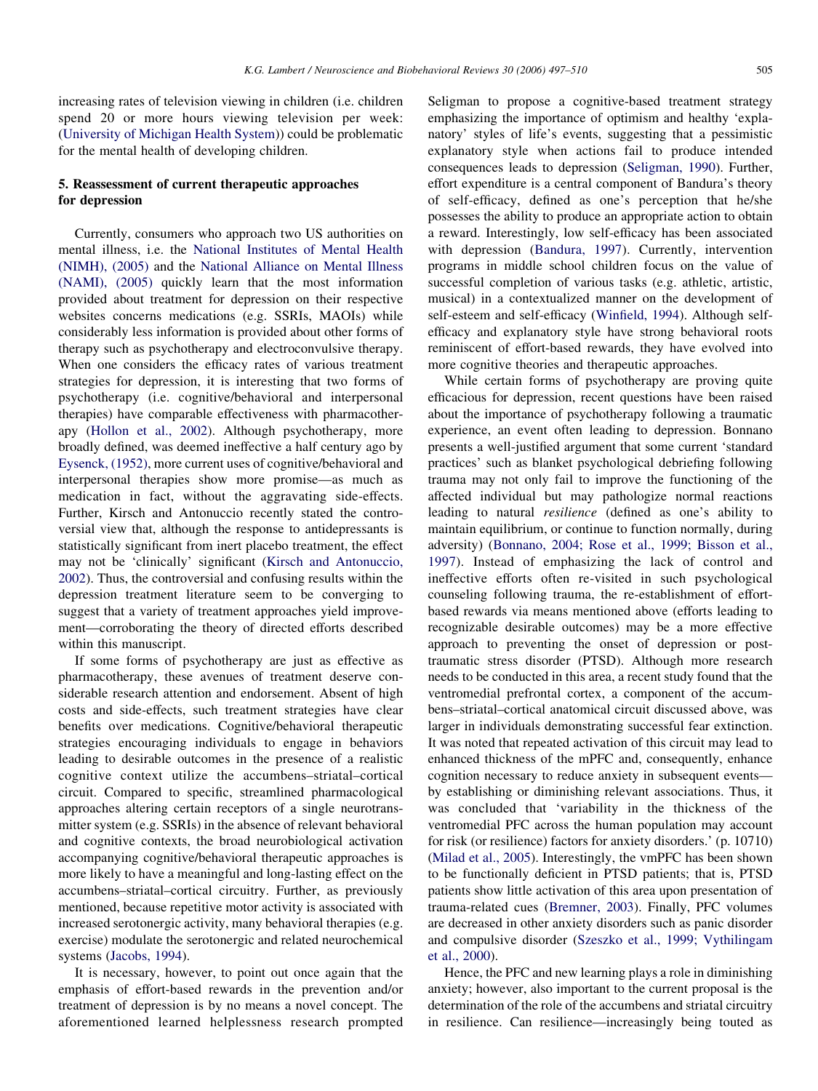increasing rates of television viewing in children (i.e. children spend 20 or more hours viewing television per week: ([University of Michigan Health System](#page-13-0))) could be problematic for the mental health of developing children.

## 5. Reassessment of current therapeutic approaches for depression

Currently, consumers who approach two US authorities on mental illness, i.e. the [National Institutes of Mental Health](#page-12-0) [\(NIMH\), \(2005\)](#page-12-0) and the [National Alliance on Mental Illness](#page-12-0) [\(NAMI\), \(2005\)](#page-12-0) quickly learn that the most information provided about treatment for depression on their respective websites concerns medications (e.g. SSRIs, MAOIs) while considerably less information is provided about other forms of therapy such as psychotherapy and electroconvulsive therapy. When one considers the efficacy rates of various treatment strategies for depression, it is interesting that two forms of psychotherapy (i.e. cognitive/behavioral and interpersonal therapies) have comparable effectiveness with pharmacotherapy [\(Hollon et al., 2002](#page-11-0)). Although psychotherapy, more broadly defined, was deemed ineffective a half century ago by [Eysenck, \(1952\),](#page-11-0) more current uses of cognitive/behavioral and interpersonal therapies show more promise—as much as medication in fact, without the aggravating side-effects. Further, Kirsch and Antonuccio recently stated the controversial view that, although the response to antidepressants is statistically significant from inert placebo treatment, the effect may not be 'clinically' significant [\(Kirsch and Antonuccio,](#page-12-0) [2002](#page-12-0)). Thus, the controversial and confusing results within the depression treatment literature seem to be converging to suggest that a variety of treatment approaches yield improvement—corroborating the theory of directed efforts described within this manuscript.

If some forms of psychotherapy are just as effective as pharmacotherapy, these avenues of treatment deserve considerable research attention and endorsement. Absent of high costs and side-effects, such treatment strategies have clear benefits over medications. Cognitive/behavioral therapeutic strategies encouraging individuals to engage in behaviors leading to desirable outcomes in the presence of a realistic cognitive context utilize the accumbens–striatal–cortical circuit. Compared to specific, streamlined pharmacological approaches altering certain receptors of a single neurotransmitter system (e.g. SSRIs) in the absence of relevant behavioral and cognitive contexts, the broad neurobiological activation accompanying cognitive/behavioral therapeutic approaches is more likely to have a meaningful and long-lasting effect on the accumbens–striatal–cortical circuitry. Further, as previously mentioned, because repetitive motor activity is associated with increased serotonergic activity, many behavioral therapies (e.g. exercise) modulate the serotonergic and related neurochemical systems [\(Jacobs, 1994](#page-11-0)).

It is necessary, however, to point out once again that the emphasis of effort-based rewards in the prevention and/or treatment of depression is by no means a novel concept. The aforementioned learned helplessness research prompted

Seligman to propose a cognitive-based treatment strategy emphasizing the importance of optimism and healthy 'explanatory' styles of life's events, suggesting that a pessimistic explanatory style when actions fail to produce intended consequences leads to depression ([Seligman, 1990\)](#page-12-0). Further, effort expenditure is a central component of Bandura's theory of self-efficacy, defined as one's perception that he/she possesses the ability to produce an appropriate action to obtain a reward. Interestingly, low self-efficacy has been associated with depression [\(Bandura, 1997\)](#page-11-0). Currently, intervention programs in middle school children focus on the value of successful completion of various tasks (e.g. athletic, artistic, musical) in a contextualized manner on the development of self-esteem and self-efficacy ([Winfield, 1994\)](#page-13-0). Although selfefficacy and explanatory style have strong behavioral roots reminiscent of effort-based rewards, they have evolved into more cognitive theories and therapeutic approaches.

While certain forms of psychotherapy are proving quite efficacious for depression, recent questions have been raised about the importance of psychotherapy following a traumatic experience, an event often leading to depression. Bonnano presents a well-justified argument that some current 'standard practices' such as blanket psychological debriefing following trauma may not only fail to improve the functioning of the affected individual but may pathologize normal reactions leading to natural resilience (defined as one's ability to maintain equilibrium, or continue to function normally, during adversity) [\(Bonnano, 2004; Rose et al., 1999; Bisson et al.,](#page-11-0) [1997\)](#page-11-0). Instead of emphasizing the lack of control and ineffective efforts often re-visited in such psychological counseling following trauma, the re-establishment of effortbased rewards via means mentioned above (efforts leading to recognizable desirable outcomes) may be a more effective approach to preventing the onset of depression or posttraumatic stress disorder (PTSD). Although more research needs to be conducted in this area, a recent study found that the ventromedial prefrontal cortex, a component of the accumbens–striatal–cortical anatomical circuit discussed above, was larger in individuals demonstrating successful fear extinction. It was noted that repeated activation of this circuit may lead to enhanced thickness of the mPFC and, consequently, enhance cognition necessary to reduce anxiety in subsequent events by establishing or diminishing relevant associations. Thus, it was concluded that 'variability in the thickness of the ventromedial PFC across the human population may account for risk (or resilience) factors for anxiety disorders.' (p. 10710) ([Milad et al., 2005](#page-12-0)). Interestingly, the vmPFC has been shown to be functionally deficient in PTSD patients; that is, PTSD patients show little activation of this area upon presentation of trauma-related cues ([Bremner, 2003](#page-11-0)). Finally, PFC volumes are decreased in other anxiety disorders such as panic disorder and compulsive disorder [\(Szeszko et al., 1999; Vythilingam](#page-13-0) [et al., 2000\)](#page-13-0).

Hence, the PFC and new learning plays a role in diminishing anxiety; however, also important to the current proposal is the determination of the role of the accumbens and striatal circuitry in resilience. Can resilience—increasingly being touted as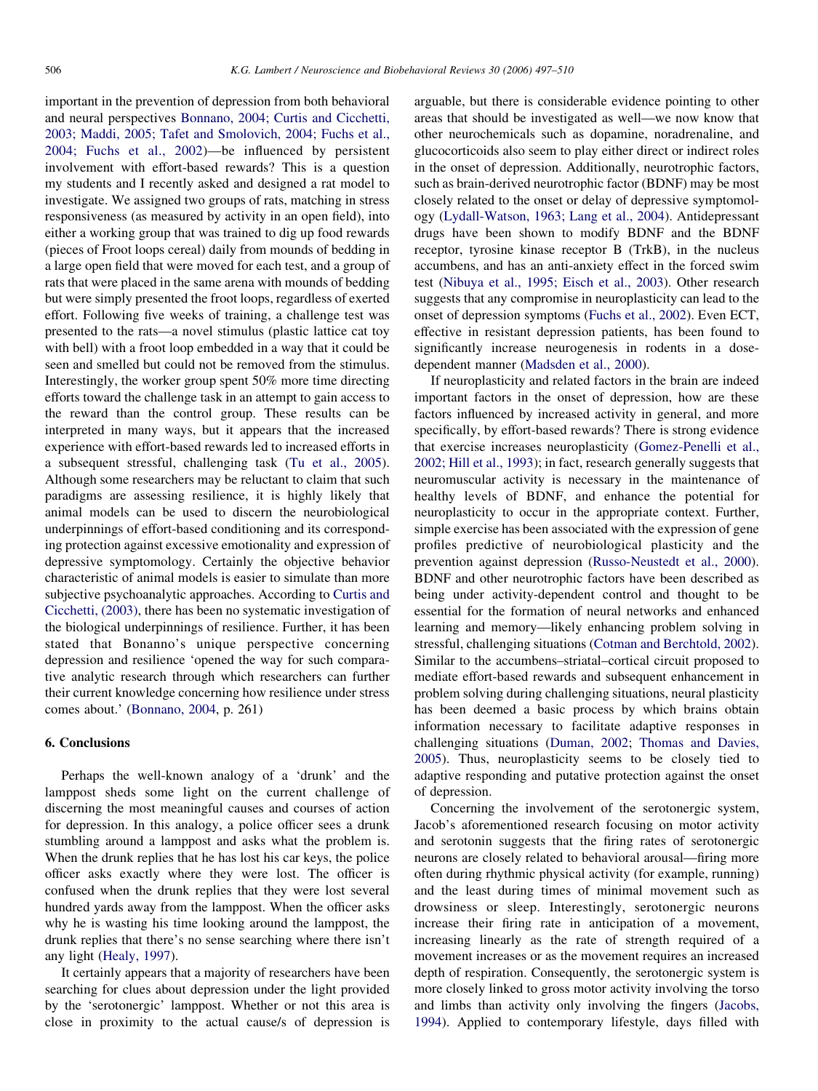important in the prevention of depression from both behavioral and neural perspectives [Bonnano, 2004; Curtis and Cicchetti,](#page-11-0) [2003; Maddi, 2005; Tafet and Smolovich, 2004; Fuchs et al.,](#page-11-0) [2004; Fuchs et al., 2002\)](#page-11-0)—be influenced by persistent involvement with effort-based rewards? This is a question my students and I recently asked and designed a rat model to investigate. We assigned two groups of rats, matching in stress responsiveness (as measured by activity in an open field), into either a working group that was trained to dig up food rewards (pieces of Froot loops cereal) daily from mounds of bedding in a large open field that were moved for each test, and a group of rats that were placed in the same arena with mounds of bedding but were simply presented the froot loops, regardless of exerted effort. Following five weeks of training, a challenge test was presented to the rats—a novel stimulus (plastic lattice cat toy with bell) with a froot loop embedded in a way that it could be seen and smelled but could not be removed from the stimulus. Interestingly, the worker group spent 50% more time directing efforts toward the challenge task in an attempt to gain access to the reward than the control group. These results can be interpreted in many ways, but it appears that the increased experience with effort-based rewards led to increased efforts in a subsequent stressful, challenging task ([Tu et al., 2005\)](#page-13-0). Although some researchers may be reluctant to claim that such paradigms are assessing resilience, it is highly likely that animal models can be used to discern the neurobiological underpinnings of effort-based conditioning and its corresponding protection against excessive emotionality and expression of depressive symptomology. Certainly the objective behavior characteristic of animal models is easier to simulate than more subjective psychoanalytic approaches. According to [Curtis and](#page-11-0) [Cicchetti, \(2003\)](#page-11-0), there has been no systematic investigation of the biological underpinnings of resilience. Further, it has been stated that Bonanno's unique perspective concerning depression and resilience 'opened the way for such comparative analytic research through which researchers can further their current knowledge concerning how resilience under stress comes about.' ([Bonnano, 2004](#page-11-0), p. 261)

#### 6. Conclusions

Perhaps the well-known analogy of a 'drunk' and the lamppost sheds some light on the current challenge of discerning the most meaningful causes and courses of action for depression. In this analogy, a police officer sees a drunk stumbling around a lamppost and asks what the problem is. When the drunk replies that he has lost his car keys, the police officer asks exactly where they were lost. The officer is confused when the drunk replies that they were lost several hundred yards away from the lamppost. When the officer asks why he is wasting his time looking around the lamppost, the drunk replies that there's no sense searching where there isn't any light ([Healy, 1997](#page-11-0)).

It certainly appears that a majority of researchers have been searching for clues about depression under the light provided by the 'serotonergic' lamppost. Whether or not this area is close in proximity to the actual cause/s of depression is arguable, but there is considerable evidence pointing to other areas that should be investigated as well—we now know that other neurochemicals such as dopamine, noradrenaline, and glucocorticoids also seem to play either direct or indirect roles in the onset of depression. Additionally, neurotrophic factors, such as brain-derived neurotrophic factor (BDNF) may be most closely related to the onset or delay of depressive symptomology [\(Lydall-Watson, 1963; Lang et al., 2004\)](#page-12-0). Antidepressant drugs have been shown to modify BDNF and the BDNF receptor, tyrosine kinase receptor B (TrkB), in the nucleus accumbens, and has an anti-anxiety effect in the forced swim test ([Nibuya et al., 1995; Eisch et al., 2003](#page-12-0)). Other research suggests that any compromise in neuroplasticity can lead to the onset of depression symptoms ([Fuchs et al., 2002\)](#page-11-0). Even ECT, effective in resistant depression patients, has been found to significantly increase neurogenesis in rodents in a dosedependent manner [\(Madsden et al., 2000](#page-12-0)).

If neuroplasticity and related factors in the brain are indeed important factors in the onset of depression, how are these factors influenced by increased activity in general, and more specifically, by effort-based rewards? There is strong evidence that exercise increases neuroplasticity [\(Gomez-Penelli et al.,](#page-11-0) [2002; Hill et al., 1993](#page-11-0)); in fact, research generally suggests that neuromuscular activity is necessary in the maintenance of healthy levels of BDNF, and enhance the potential for neuroplasticity to occur in the appropriate context. Further, simple exercise has been associated with the expression of gene profiles predictive of neurobiological plasticity and the prevention against depression ([Russo-Neustedt et al., 2000\)](#page-12-0). BDNF and other neurotrophic factors have been described as being under activity-dependent control and thought to be essential for the formation of neural networks and enhanced learning and memory—likely enhancing problem solving in stressful, challenging situations [\(Cotman and Berchtold, 2002\)](#page-11-0). Similar to the accumbens–striatal–cortical circuit proposed to mediate effort-based rewards and subsequent enhancement in problem solving during challenging situations, neural plasticity has been deemed a basic process by which brains obtain information necessary to facilitate adaptive responses in challenging situations [\(Duman, 2002;](#page-11-0) [Thomas and Davies,](#page-13-0) [2005\)](#page-13-0). Thus, neuroplasticity seems to be closely tied to adaptive responding and putative protection against the onset of depression.

Concerning the involvement of the serotonergic system, Jacob's aforementioned research focusing on motor activity and serotonin suggests that the firing rates of serotonergic neurons are closely related to behavioral arousal—firing more often during rhythmic physical activity (for example, running) and the least during times of minimal movement such as drowsiness or sleep. Interestingly, serotonergic neurons increase their firing rate in anticipation of a movement, increasing linearly as the rate of strength required of a movement increases or as the movement requires an increased depth of respiration. Consequently, the serotonergic system is more closely linked to gross motor activity involving the torso and limbs than activity only involving the fingers ([Jacobs,](#page-11-0) [1994\)](#page-11-0). Applied to contemporary lifestyle, days filled with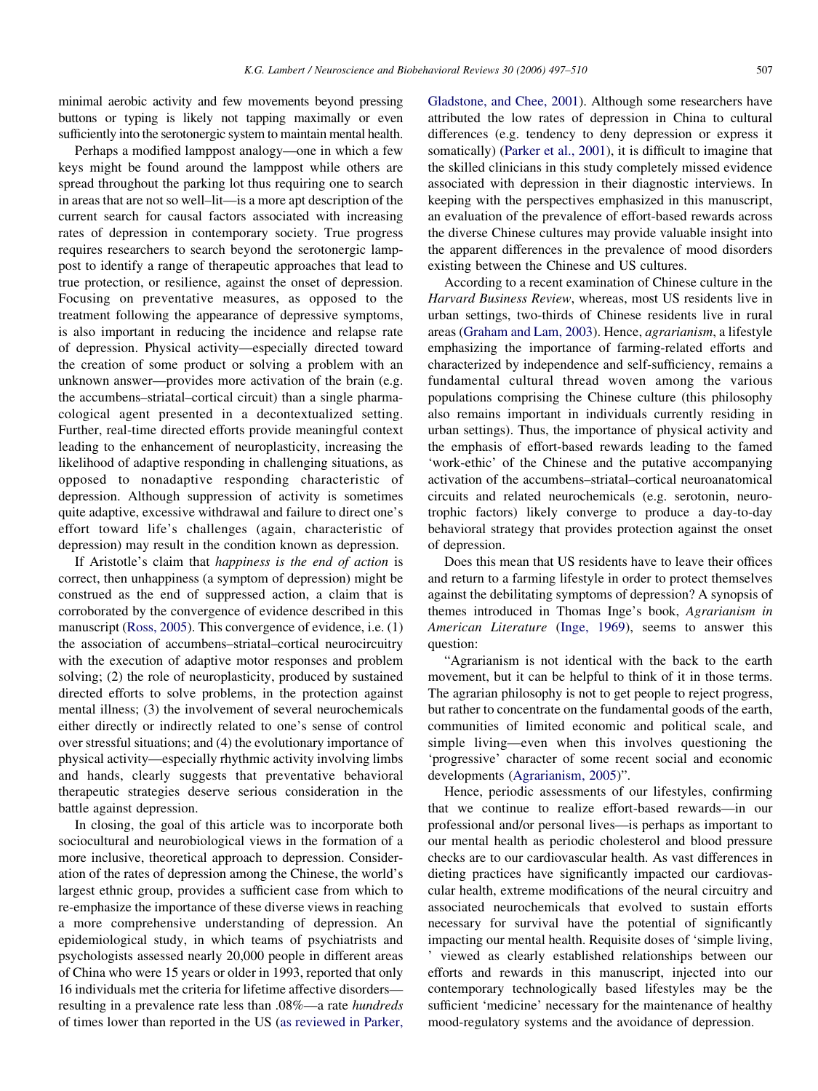minimal aerobic activity and few movements beyond pressing buttons or typing is likely not tapping maximally or even sufficiently into the serotonergic system to maintain mental health.

Perhaps a modified lamppost analogy—one in which a few keys might be found around the lamppost while others are spread throughout the parking lot thus requiring one to search in areas that are not so well–lit—is a more apt description of the current search for causal factors associated with increasing rates of depression in contemporary society. True progress requires researchers to search beyond the serotonergic lamppost to identify a range of therapeutic approaches that lead to true protection, or resilience, against the onset of depression. Focusing on preventative measures, as opposed to the treatment following the appearance of depressive symptoms, is also important in reducing the incidence and relapse rate of depression. Physical activity—especially directed toward the creation of some product or solving a problem with an unknown answer—provides more activation of the brain (e.g. the accumbens–striatal–cortical circuit) than a single pharmacological agent presented in a decontextualized setting. Further, real-time directed efforts provide meaningful context leading to the enhancement of neuroplasticity, increasing the likelihood of adaptive responding in challenging situations, as opposed to nonadaptive responding characteristic of depression. Although suppression of activity is sometimes quite adaptive, excessive withdrawal and failure to direct one's effort toward life's challenges (again, characteristic of depression) may result in the condition known as depression.

If Aristotle's claim that happiness is the end of action is correct, then unhappiness (a symptom of depression) might be construed as the end of suppressed action, a claim that is corroborated by the convergence of evidence described in this manuscript [\(Ross, 2005](#page-12-0)). This convergence of evidence, i.e. (1) the association of accumbens–striatal–cortical neurocircuitry with the execution of adaptive motor responses and problem solving; (2) the role of neuroplasticity, produced by sustained directed efforts to solve problems, in the protection against mental illness; (3) the involvement of several neurochemicals either directly or indirectly related to one's sense of control over stressful situations; and (4) the evolutionary importance of physical activity—especially rhythmic activity involving limbs and hands, clearly suggests that preventative behavioral therapeutic strategies deserve serious consideration in the battle against depression.

In closing, the goal of this article was to incorporate both sociocultural and neurobiological views in the formation of a more inclusive, theoretical approach to depression. Consideration of the rates of depression among the Chinese, the world's largest ethnic group, provides a sufficient case from which to re-emphasize the importance of these diverse views in reaching a more comprehensive understanding of depression. An epidemiological study, in which teams of psychiatrists and psychologists assessed nearly 20,000 people in different areas of China who were 15 years or older in 1993, reported that only 16 individuals met the criteria for lifetime affective disorders resulting in a prevalence rate less than .08%—a rate hundreds of times lower than reported in the US ([as reviewed in Parker,](#page-12-0)

[Gladstone, and Chee, 2001](#page-12-0)). Although some researchers have attributed the low rates of depression in China to cultural differences (e.g. tendency to deny depression or express it somatically) [\(Parker et al., 2001](#page-12-0)), it is difficult to imagine that the skilled clinicians in this study completely missed evidence associated with depression in their diagnostic interviews. In keeping with the perspectives emphasized in this manuscript, an evaluation of the prevalence of effort-based rewards across the diverse Chinese cultures may provide valuable insight into the apparent differences in the prevalence of mood disorders existing between the Chinese and US cultures.

According to a recent examination of Chinese culture in the Harvard Business Review, whereas, most US residents live in urban settings, two-thirds of Chinese residents live in rural areas ([Graham and Lam, 2003\)](#page-11-0). Hence, agrarianism, a lifestyle emphasizing the importance of farming-related efforts and characterized by independence and self-sufficiency, remains a fundamental cultural thread woven among the various populations comprising the Chinese culture (this philosophy also remains important in individuals currently residing in urban settings). Thus, the importance of physical activity and the emphasis of effort-based rewards leading to the famed 'work-ethic' of the Chinese and the putative accompanying activation of the accumbens–striatal–cortical neuroanatomical circuits and related neurochemicals (e.g. serotonin, neurotrophic factors) likely converge to produce a day-to-day behavioral strategy that provides protection against the onset of depression.

Does this mean that US residents have to leave their offices and return to a farming lifestyle in order to protect themselves against the debilitating symptoms of depression? A synopsis of themes introduced in Thomas Inge's book, Agrarianism in American Literature [\(Inge, 1969](#page-11-0)), seems to answer this question:

"Agrarianism is not identical with the back to the earth movement, but it can be helpful to think of it in those terms. The agrarian philosophy is not to get people to reject progress, but rather to concentrate on the fundamental goods of the earth, communities of limited economic and political scale, and simple living—even when this involves questioning the 'progressive' character of some recent social and economic developments [\(Agrarianism, 2005\)](#page-11-0)".

Hence, periodic assessments of our lifestyles, confirming that we continue to realize effort-based rewards—in our professional and/or personal lives—is perhaps as important to our mental health as periodic cholesterol and blood pressure checks are to our cardiovascular health. As vast differences in dieting practices have significantly impacted our cardiovascular health, extreme modifications of the neural circuitry and associated neurochemicals that evolved to sustain efforts necessary for survival have the potential of significantly impacting our mental health. Requisite doses of 'simple living,

' viewed as clearly established relationships between our efforts and rewards in this manuscript, injected into our contemporary technologically based lifestyles may be the sufficient 'medicine' necessary for the maintenance of healthy mood-regulatory systems and the avoidance of depression.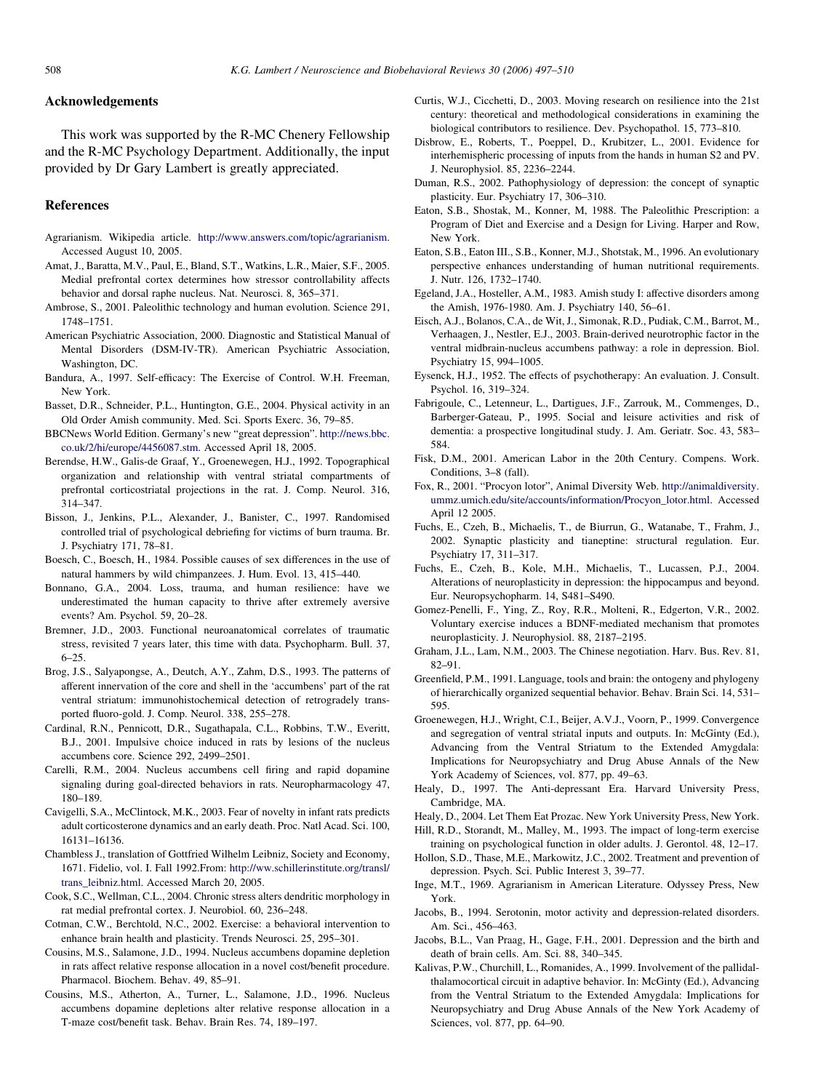#### <span id="page-11-0"></span>Acknowledgements

This work was supported by the R-MC Chenery Fellowship and the R-MC Psychology Department. Additionally, the input provided by Dr Gary Lambert is greatly appreciated.

#### References

- Agrarianism. Wikipedia article. [http://www.answers.com/topic/agrarianism.](http://www.answers.com/topic/agrarianism) Accessed August 10, 2005.
- Amat, J., Baratta, M.V., Paul, E., Bland, S.T., Watkins, L.R., Maier, S.F., 2005. Medial prefrontal cortex determines how stressor controllability affects behavior and dorsal raphe nucleus. Nat. Neurosci. 8, 365–371.
- Ambrose, S., 2001. Paleolithic technology and human evolution. Science 291, 1748–1751.
- American Psychiatric Association, 2000. Diagnostic and Statistical Manual of Mental Disorders (DSM-IV-TR). American Psychiatric Association, Washington, DC.
- Bandura, A., 1997. Self-efficacy: The Exercise of Control. W.H. Freeman, New York.
- Basset, D.R., Schneider, P.L., Huntington, G.E., 2004. Physical activity in an Old Order Amish community. Med. Sci. Sports Exerc. 36, 79–85.
- BBCNews World Edition. Germany's new "great depression". [http://news.bbc.](http://news.bbc.co.uk/2/hi/europe/4456087.stm) [co.uk/2/hi/europe/4456087.stm](http://news.bbc.co.uk/2/hi/europe/4456087.stm). Accessed April 18, 2005.
- Berendse, H.W., Galis-de Graaf, Y., Groenewegen, H.J., 1992. Topographical organization and relationship with ventral striatal compartments of prefrontal corticostriatal projections in the rat. J. Comp. Neurol. 316, 314–347.
- Bisson, J., Jenkins, P.L., Alexander, J., Banister, C., 1997. Randomised controlled trial of psychological debriefing for victims of burn trauma. Br. J. Psychiatry 171, 78–81.
- Boesch, C., Boesch, H., 1984. Possible causes of sex differences in the use of natural hammers by wild chimpanzees. J. Hum. Evol. 13, 415–440.
- Bonnano, G.A., 2004. Loss, trauma, and human resilience: have we underestimated the human capacity to thrive after extremely aversive events? Am. Psychol. 59, 20–28.
- Bremner, J.D., 2003. Functional neuroanatomical correlates of traumatic stress, revisited 7 years later, this time with data. Psychopharm. Bull. 37, 6–25.
- Brog, J.S., Salyapongse, A., Deutch, A.Y., Zahm, D.S., 1993. The patterns of afferent innervation of the core and shell in the 'accumbens' part of the rat ventral striatum: immunohistochemical detection of retrogradely transported fluoro-gold. J. Comp. Neurol. 338, 255–278.
- Cardinal, R.N., Pennicott, D.R., Sugathapala, C.L., Robbins, T.W., Everitt, B.J., 2001. Impulsive choice induced in rats by lesions of the nucleus accumbens core. Science 292, 2499–2501.
- Carelli, R.M., 2004. Nucleus accumbens cell firing and rapid dopamine signaling during goal-directed behaviors in rats. Neuropharmacology 47, 180–189.
- Cavigelli, S.A., McClintock, M.K., 2003. Fear of novelty in infant rats predicts adult corticosterone dynamics and an early death. Proc. Natl Acad. Sci. 100, 16131–16136.
- Chambless J., translation of Gottfried Wilhelm Leibniz, Society and Economy, 1671. Fidelio, vol. I. Fall 1992.From: [http://ww.schillerinstitute.org/transl/](http://ww.schillerinstitute.org/transl/trans_leibniz.html) [trans\\_leibniz.html.](http://ww.schillerinstitute.org/transl/trans_leibniz.html) Accessed March 20, 2005.
- Cook, S.C., Wellman, C.L., 2004. Chronic stress alters dendritic morphology in rat medial prefrontal cortex. J. Neurobiol. 60, 236–248.
- Cotman, C.W., Berchtold, N.C., 2002. Exercise: a behavioral intervention to enhance brain health and plasticity. Trends Neurosci. 25, 295–301.
- Cousins, M.S., Salamone, J.D., 1994. Nucleus accumbens dopamine depletion in rats affect relative response allocation in a novel cost/benefit procedure. Pharmacol. Biochem. Behav. 49, 85–91.
- Cousins, M.S., Atherton, A., Turner, L., Salamone, J.D., 1996. Nucleus accumbens dopamine depletions alter relative response allocation in a T-maze cost/benefit task. Behav. Brain Res. 74, 189–197.
- Curtis, W.J., Cicchetti, D., 2003. Moving research on resilience into the 21st century: theoretical and methodological considerations in examining the biological contributors to resilience. Dev. Psychopathol. 15, 773–810.
- Disbrow, E., Roberts, T., Poeppel, D., Krubitzer, L., 2001. Evidence for interhemispheric processing of inputs from the hands in human S2 and PV. J. Neurophysiol. 85, 2236–2244.
- Duman, R.S., 2002. Pathophysiology of depression: the concept of synaptic plasticity. Eur. Psychiatry 17, 306–310.
- Eaton, S.B., Shostak, M., Konner, M, 1988. The Paleolithic Prescription: a Program of Diet and Exercise and a Design for Living. Harper and Row, New York.
- Eaton, S.B., Eaton III., S.B., Konner, M.J., Shotstak, M., 1996. An evolutionary perspective enhances understanding of human nutritional requirements. J. Nutr. 126, 1732–1740.
- Egeland, J.A., Hosteller, A.M., 1983. Amish study I: affective disorders among the Amish, 1976-1980. Am. J. Psychiatry 140, 56–61.
- Eisch, A.J., Bolanos, C.A., de Wit, J., Simonak, R.D., Pudiak, C.M., Barrot, M., Verhaagen, J., Nestler, E.J., 2003. Brain-derived neurotrophic factor in the ventral midbrain-nucleus accumbens pathway: a role in depression. Biol. Psychiatry 15, 994–1005.
- Eysenck, H.J., 1952. The effects of psychotherapy: An evaluation. J. Consult. Psychol. 16, 319–324.
- Fabrigoule, C., Letenneur, L., Dartigues, J.F., Zarrouk, M., Commenges, D., Barberger-Gateau, P., 1995. Social and leisure activities and risk of dementia: a prospective longitudinal study. J. Am. Geriatr. Soc. 43, 583– 584.
- Fisk, D.M., 2001. American Labor in the 20th Century. Compens. Work. Conditions, 3–8 (fall).
- Fox, R., 2001. "Procyon lotor", Animal Diversity Web. [http://animaldiversity.](http://animaldiversity.ummz.umich.edu/site/accounts/information/Procyon_lotor.html) [ummz.umich.edu/site/accounts/information/Procyon\\_lotor.html.](http://animaldiversity.ummz.umich.edu/site/accounts/information/Procyon_lotor.html) Accessed April 12 2005.
- Fuchs, E., Czeh, B., Michaelis, T., de Biurrun, G., Watanabe, T., Frahm, J., 2002. Synaptic plasticity and tianeptine: structural regulation. Eur. Psychiatry 17, 311–317.
- Fuchs, E., Czeh, B., Kole, M.H., Michaelis, T., Lucassen, P.J., 2004. Alterations of neuroplasticity in depression: the hippocampus and beyond. Eur. Neuropsychopharm. 14, S481–S490.
- Gomez-Penelli, F., Ying, Z., Roy, R.R., Molteni, R., Edgerton, V.R., 2002. Voluntary exercise induces a BDNF-mediated mechanism that promotes neuroplasticity. J. Neurophysiol. 88, 2187–2195.
- Graham, J.L., Lam, N.M., 2003. The Chinese negotiation. Harv. Bus. Rev. 81, 82–91.
- Greenfield, P.M., 1991. Language, tools and brain: the ontogeny and phylogeny of hierarchically organized sequential behavior. Behav. Brain Sci. 14, 531– 595.
- Groenewegen, H.J., Wright, C.I., Beijer, A.V.J., Voorn, P., 1999. Convergence and segregation of ventral striatal inputs and outputs. In: McGinty (Ed.), Advancing from the Ventral Striatum to the Extended Amygdala: Implications for Neuropsychiatry and Drug Abuse Annals of the New York Academy of Sciences, vol. 877, pp. 49–63.
- Healy, D., 1997. The Anti-depressant Era. Harvard University Press, Cambridge, MA.
- Healy, D., 2004. Let Them Eat Prozac. New York University Press, New York.
- Hill, R.D., Storandt, M., Malley, M., 1993. The impact of long-term exercise training on psychological function in older adults. J. Gerontol. 48, 12–17.
- Hollon, S.D., Thase, M.E., Markowitz, J.C., 2002. Treatment and prevention of depression. Psych. Sci. Public Interest 3, 39–77.
- Inge, M.T., 1969. Agrarianism in American Literature. Odyssey Press, New York.
- Jacobs, B., 1994. Serotonin, motor activity and depression-related disorders. Am. Sci., 456–463.
- Jacobs, B.L., Van Praag, H., Gage, F.H., 2001. Depression and the birth and death of brain cells. Am. Sci. 88, 340–345.
- Kalivas, P.W., Churchill, L., Romanides, A., 1999. Involvement of the pallidalthalamocortical circuit in adaptive behavior. In: McGinty (Ed.), Advancing from the Ventral Striatum to the Extended Amygdala: Implications for Neuropsychiatry and Drug Abuse Annals of the New York Academy of Sciences, vol. 877, pp. 64–90.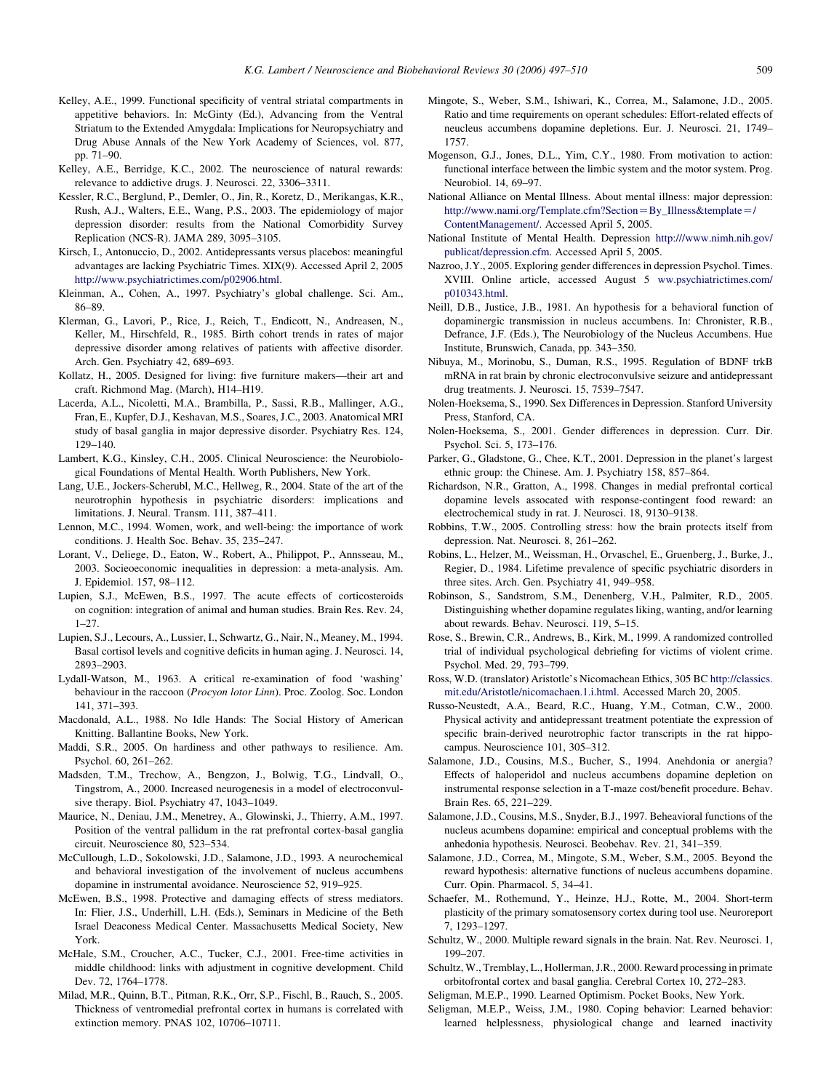- <span id="page-12-0"></span>Kelley, A.E., 1999. Functional specificity of ventral striatal compartments in appetitive behaviors. In: McGinty (Ed.), Advancing from the Ventral Striatum to the Extended Amygdala: Implications for Neuropsychiatry and Drug Abuse Annals of the New York Academy of Sciences, vol. 877, pp. 71–90.
- Kelley, A.E., Berridge, K.C., 2002. The neuroscience of natural rewards: relevance to addictive drugs. J. Neurosci. 22, 3306–3311.
- Kessler, R.C., Berglund, P., Demler, O., Jin, R., Koretz, D., Merikangas, K.R., Rush, A.J., Walters, E.E., Wang, P.S., 2003. The epidemiology of major depression disorder: results from the National Comorbidity Survey Replication (NCS-R). JAMA 289, 3095–3105.
- Kirsch, I., Antonuccio, D., 2002. Antidepressants versus placebos: meaningful advantages are lacking Psychiatric Times. XIX(9). Accessed April 2, 2005 <http://www.psychiatrictimes.com/p02906.html>.
- Kleinman, A., Cohen, A., 1997. Psychiatry's global challenge. Sci. Am., 86–89.
- Klerman, G., Lavori, P., Rice, J., Reich, T., Endicott, N., Andreasen, N., Keller, M., Hirschfeld, R., 1985. Birth cohort trends in rates of major depressive disorder among relatives of patients with affective disorder. Arch. Gen. Psychiatry 42, 689–693.
- Kollatz, H., 2005. Designed for living: five furniture makers—their art and craft. Richmond Mag. (March), H14–H19.
- Lacerda, A.L., Nicoletti, M.A., Brambilla, P., Sassi, R.B., Mallinger, A.G., Fran, E., Kupfer, D.J., Keshavan, M.S., Soares, J.C., 2003. Anatomical MRI study of basal ganglia in major depressive disorder. Psychiatry Res. 124, 129–140.
- Lambert, K.G., Kinsley, C.H., 2005. Clinical Neuroscience: the Neurobiological Foundations of Mental Health. Worth Publishers, New York.
- Lang, U.E., Jockers-Scherubl, M.C., Hellweg, R., 2004. State of the art of the neurotrophin hypothesis in psychiatric disorders: implications and limitations. J. Neural. Transm. 111, 387–411.
- Lennon, M.C., 1994. Women, work, and well-being: the importance of work conditions. J. Health Soc. Behav. 35, 235–247.
- Lorant, V., Deliege, D., Eaton, W., Robert, A., Philippot, P., Annsseau, M., 2003. Socieoeconomic inequalities in depression: a meta-analysis. Am. J. Epidemiol. 157, 98–112.
- Lupien, S.J., McEwen, B.S., 1997. The acute effects of corticosteroids on cognition: integration of animal and human studies. Brain Res. Rev. 24,  $1 - 27$
- Lupien, S.J., Lecours, A., Lussier, I., Schwartz, G., Nair, N., Meaney, M., 1994. Basal cortisol levels and cognitive deficits in human aging. J. Neurosci. 14, 2893–2903.
- Lydall-Watson, M., 1963. A critical re-examination of food 'washing' behaviour in the raccoon (Procyon lotor Linn). Proc. Zoolog. Soc. London 141, 371–393.
- Macdonald, A.L., 1988. No Idle Hands: The Social History of American Knitting. Ballantine Books, New York.
- Maddi, S.R., 2005. On hardiness and other pathways to resilience. Am. Psychol. 60, 261–262.
- Madsden, T.M., Trechow, A., Bengzon, J., Bolwig, T.G., Lindvall, O., Tingstrom, A., 2000. Increased neurogenesis in a model of electroconvulsive therapy. Biol. Psychiatry 47, 1043–1049.
- Maurice, N., Deniau, J.M., Menetrey, A., Glowinski, J., Thierry, A.M., 1997. Position of the ventral pallidum in the rat prefrontal cortex-basal ganglia circuit. Neuroscience 80, 523–534.
- McCullough, L.D., Sokolowski, J.D., Salamone, J.D., 1993. A neurochemical and behavioral investigation of the involvement of nucleus accumbens dopamine in instrumental avoidance. Neuroscience 52, 919–925.
- McEwen, B.S., 1998. Protective and damaging effects of stress mediators. In: Flier, J.S., Underhill, L.H. (Eds.), Seminars in Medicine of the Beth Israel Deaconess Medical Center. Massachusetts Medical Society, New York.
- McHale, S.M., Croucher, A.C., Tucker, C.J., 2001. Free-time activities in middle childhood: links with adjustment in cognitive development. Child Dev. 72, 1764–1778.
- Milad, M.R., Quinn, B.T., Pitman, R.K., Orr, S.P., Fischl, B., Rauch, S., 2005. Thickness of ventromedial prefrontal cortex in humans is correlated with extinction memory. PNAS 102, 10706–10711.
- Mingote, S., Weber, S.M., Ishiwari, K., Correa, M., Salamone, J.D., 2005. Ratio and time requirements on operant schedules: Effort-related effects of neucleus accumbens dopamine depletions. Eur. J. Neurosci. 21, 1749– 1757.
- Mogenson, G.J., Jones, D.L., Yim, C.Y., 1980. From motivation to action: functional interface between the limbic system and the motor system. Prog. Neurobiol. 14, 69–97.
- National Alliance on Mental Illness. About mental illness: major depression: [http://www.nami.org/Template.cfm?Section](http://www.nami.org/Template.cfm?Section=By_Illness&template=/ContentManagement/)=By\_Illness&template=/ [ContentManagement/.](http://www.nami.org/Template.cfm?Section=By_Illness&template=/ContentManagement/) Accessed April 5, 2005.
- National Institute of Mental Health. Depression [http:///www.nimh.nih.gov/](http:///www.nimh.nih.gov/publicat/depression.cfm) [publicat/depression.cfm.](http:///www.nimh.nih.gov/publicat/depression.cfm) Accessed April 5, 2005.
- Nazroo, J.Y., 2005. Exploring gender differences in depression Psychol. Times. XVIII. Online article, accessed August 5 [ww.psychiatrictimes.com/](http://ww.psychiatrictimes.com/p010343.html) [p010343.html.](http://ww.psychiatrictimes.com/p010343.html)
- Neill, D.B., Justice, J.B., 1981. An hypothesis for a behavioral function of dopaminergic transmission in nucleus accumbens. In: Chronister, R.B., Defrance, J.F. (Eds.), The Neurobiology of the Nucleus Accumbens. Hue Institute, Brunswich, Canada, pp. 343–350.
- Nibuya, M., Morinobu, S., Duman, R.S., 1995. Regulation of BDNF trkB mRNA in rat brain by chronic electroconvulsive seizure and antidepressant drug treatments. J. Neurosci. 15, 7539–7547.
- Nolen-Hoeksema, S., 1990. Sex Differences in Depression. Stanford University Press, Stanford, CA.
- Nolen-Hoeksema, S., 2001. Gender differences in depression. Curr. Dir. Psychol. Sci. 5, 173–176.
- Parker, G., Gladstone, G., Chee, K.T., 2001. Depression in the planet's largest ethnic group: the Chinese. Am. J. Psychiatry 158, 857–864.
- Richardson, N.R., Gratton, A., 1998. Changes in medial prefrontal cortical dopamine levels assocated with response-contingent food reward: an electrochemical study in rat. J. Neurosci. 18, 9130–9138.
- Robbins, T.W., 2005. Controlling stress: how the brain protects itself from depression. Nat. Neurosci. 8, 261–262.
- Robins, L., Helzer, M., Weissman, H., Orvaschel, E., Gruenberg, J., Burke, J., Regier, D., 1984. Lifetime prevalence of specific psychiatric disorders in three sites. Arch. Gen. Psychiatry 41, 949–958.
- Robinson, S., Sandstrom, S.M., Denenberg, V.H., Palmiter, R.D., 2005. Distinguishing whether dopamine regulates liking, wanting, and/or learning about rewards. Behav. Neurosci. 119, 5–15.
- Rose, S., Brewin, C.R., Andrews, B., Kirk, M., 1999. A randomized controlled trial of individual psychological debriefing for victims of violent crime. Psychol. Med. 29, 793–799.
- Ross, W.D. (translator) Aristotle's Nicomachean Ethics, 305 BC [http://classics.](http://classics.mit.edu/Aristotle/nicomachaen.1.i.html) [mit.edu/Aristotle/nicomachaen.1.i.html.](http://classics.mit.edu/Aristotle/nicomachaen.1.i.html) Accessed March 20, 2005.
- Russo-Neustedt, A.A., Beard, R.C., Huang, Y.M., Cotman, C.W., 2000. Physical activity and antidepressant treatment potentiate the expression of specific brain-derived neurotrophic factor transcripts in the rat hippocampus. Neuroscience 101, 305–312.
- Salamone, J.D., Cousins, M.S., Bucher, S., 1994. Anehdonia or anergia? Effects of haloperidol and nucleus accumbens dopamine depletion on instrumental response selection in a T-maze cost/benefit procedure. Behav. Brain Res. 65, 221–229.
- Salamone, J.D., Cousins, M.S., Snyder, B.J., 1997. Beheavioral functions of the nucleus acumbens dopamine: empirical and conceptual problems with the anhedonia hypothesis. Neurosci. Beobehav. Rev. 21, 341–359.
- Salamone, J.D., Correa, M., Mingote, S.M., Weber, S.M., 2005. Beyond the reward hypothesis: alternative functions of nucleus accumbens dopamine. Curr. Opin. Pharmacol. 5, 34–41.
- Schaefer, M., Rothemund, Y., Heinze, H.J., Rotte, M., 2004. Short-term plasticity of the primary somatosensory cortex during tool use. Neuroreport 7, 1293–1297.
- Schultz, W., 2000. Multiple reward signals in the brain. Nat. Rev. Neurosci. 1, 199–207.
- Schultz, W., Tremblay, L., Hollerman, J.R., 2000. Reward processing in primate orbitofrontal cortex and basal ganglia. Cerebral Cortex 10, 272–283.
- Seligman, M.E.P., 1990. Learned Optimism. Pocket Books, New York.
- Seligman, M.E.P., Weiss, J.M., 1980. Coping behavior: Learned behavior: learned helplessness, physiological change and learned inactivity